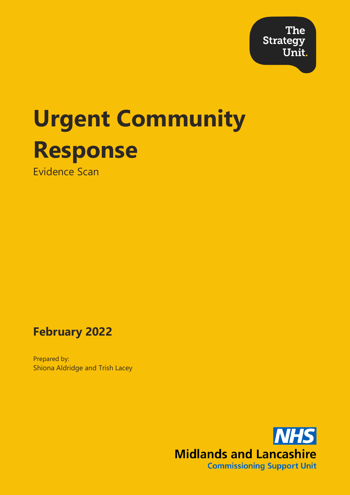**The Strategy** Unit.

# **Urgent Community Response**

Evidence Scan

**February 2022**

Prepared by: Shiona Aldridge and Trish Lacey

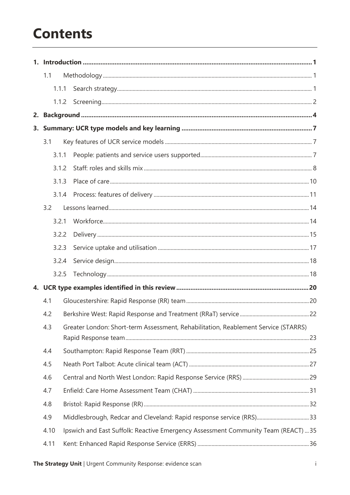# **Contents**

| 1.1  |       |  |                                                                                    |  |
|------|-------|--|------------------------------------------------------------------------------------|--|
|      | 1.1.1 |  |                                                                                    |  |
|      |       |  |                                                                                    |  |
|      |       |  |                                                                                    |  |
|      |       |  |                                                                                    |  |
| 3.1  |       |  |                                                                                    |  |
|      | 3.1.1 |  |                                                                                    |  |
|      | 3.1.2 |  |                                                                                    |  |
|      | 3.1.3 |  |                                                                                    |  |
|      | 3.1.4 |  |                                                                                    |  |
| 3.2  |       |  |                                                                                    |  |
|      | 3.2.1 |  |                                                                                    |  |
|      | 3.2.2 |  |                                                                                    |  |
|      | 3.2.3 |  |                                                                                    |  |
|      | 3.2.4 |  |                                                                                    |  |
|      | 3.2.5 |  |                                                                                    |  |
|      |       |  |                                                                                    |  |
| 4.1  |       |  |                                                                                    |  |
| 4.2  |       |  |                                                                                    |  |
| 4.3  |       |  | Greater London: Short-term Assessment, Rehabilitation, Reablement Service (STARRS) |  |
| 4.4  |       |  |                                                                                    |  |
| 4.5  |       |  |                                                                                    |  |
| 4.6  |       |  |                                                                                    |  |
| 4.7  |       |  |                                                                                    |  |
| 4.8  |       |  |                                                                                    |  |
| 4.9  |       |  |                                                                                    |  |
| 4.10 |       |  | Ipswich and East Suffolk: Reactive Emergency Assessment Community Team (REACT)  35 |  |
| 4.11 |       |  |                                                                                    |  |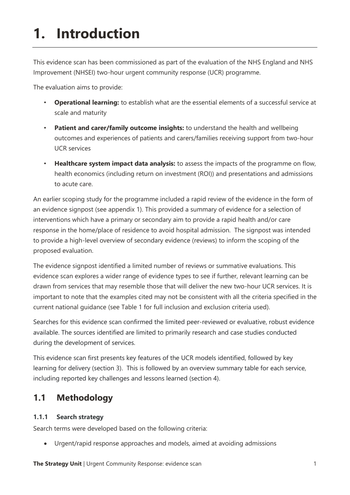# **1. Introduction**

This evidence scan has been commissioned as part of the evaluation of the NHS England and NHS Improvement (NHSEI) two-hour urgent community response (UCR) programme.

The evaluation aims to provide:

- **Operational learning:** to establish what are the essential elements of a successful service at scale and maturity
- **Patient and carer/family outcome insights:** to understand the health and wellbeing outcomes and experiences of patients and carers/families receiving support from two-hour UCR services
- **Healthcare system impact data analysis:** to assess the impacts of the programme on flow, health economics (including return on investment (ROI)) and presentations and admissions to acute care.

An earlier scoping study for the programme included a rapid review of the evidence in the form of an evidence signpost (see appendix 1). This provided a summary of evidence for a selection of interventions which have a primary or secondary aim to provide a rapid health and/or care response in the home/place of residence to avoid hospital admission. The signpost was intended to provide a high-level overview of secondary evidence (reviews) to inform the scoping of the proposed evaluation.

The evidence signpost identified a limited number of reviews or summative evaluations. This evidence scan explores a wider range of evidence types to see if further, relevant learning can be drawn from services that may resemble those that will deliver the new two-hour UCR services. It is important to note that the examples cited may not be consistent with all the criteria specified in the current national guidance (see [Table 1](#page-5-0) for full inclusion and exclusion criteria used).

Searches for this evidence scan confirmed the limited peer-reviewed or evaluative, robust evidence available. The sources identified are limited to primarily research and case studies conducted during the development of services.

This evidence scan first presents key features of the UCR models identified, followed by key learning for delivery (section 3). This is followed by an overview summary table for each service, including reported key challenges and lessons learned (section 4).

# **1.1 Methodology**

# **1.1.1 Search strategy**

Search terms were developed based on the following criteria:

• Urgent/rapid response approaches and models, aimed at avoiding admissions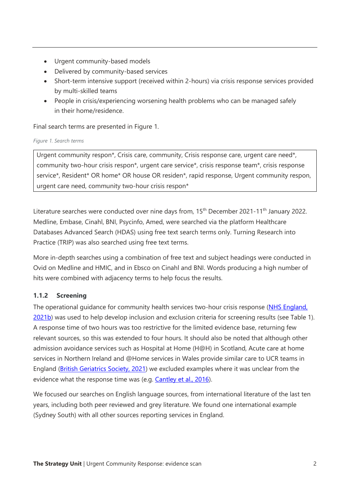- Urgent community-based models
- Delivered by community-based services
- Short-term intensive support (received within 2-hours) via crisis response services provided by multi-skilled teams
- People in crisis/experiencing worsening health problems who can be managed safely in their home/residence.

Final search terms are presented in Figure 1.

### *Figure 1. Search terms*

Urgent community respon\*, Crisis care, community, Crisis response care, urgent care need\*, community two-hour crisis respon\*, urgent care service\*, crisis response team\*, crisis response service\*, Resident\* OR home\* OR house OR residen\*, rapid response, Urgent community respon, urgent care need, community two-hour crisis respon\*

Literature searches were conducted over nine days from, 15<sup>th</sup> December 2021-11<sup>th</sup> January 2022. Medline, Embase, Cinahl, BNI, Psycinfo, Amed, were searched via the platform Healthcare Databases Advanced Search (HDAS) using free text search terms only. Turning Research into Practice (TRIP) was also searched using free text terms.

More in-depth searches using a combination of free text and subject headings were conducted in Ovid on Medline and HMIC, and in Ebsco on Cinahl and BNI. Words producing a high number of hits were combined with adjacency terms to help focus the results.

# **1.1.2 Screening**

The operational guidance for community health services two-hour crisis response [\(NHS England,](https://www.england.nhs.uk/publication/community-health-services-two-hour-crisis-response-standard-guidance/)  [2021b\)](https://www.england.nhs.uk/publication/community-health-services-two-hour-crisis-response-standard-guidance/) was used to help develop inclusion and exclusion criteria for screening results (see [Table 1\)](#page-5-0). A response time of two hours was too restrictive for the limited evidence base, returning few relevant sources, so this was extended to four hours. It should also be noted that although other admission avoidance services such as Hospital at Home (H@H) in Scotland, Acute care at home services in Northern Ireland and @Home services in Wales provide similar care to UCR teams in England [\(British Geriatrics Society, 2021\)](https://www.bgs.org.uk/righttimerightplace) we excluded examples where it was unclear from the evidence what the response time was (e.g. [Cantley et al., 2016\)](https://www.ijic.org/articles/abstract/10.5334/ijic.2647/).

We focused our searches on English language sources, from international literature of the last ten years, including both peer reviewed and grey literature. We found one international example (Sydney South) with all other sources reporting services in England.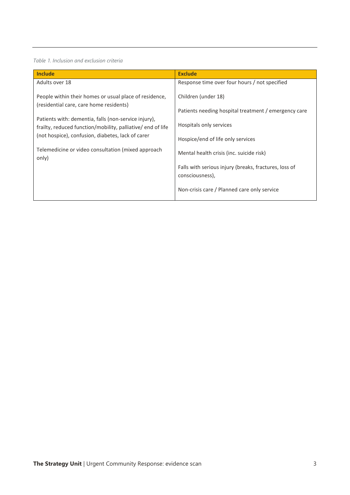#### <span id="page-5-0"></span>*Table 1. Inclusion and exclusion criteria*

| <b>Include</b>                                                                                    | <b>Exclude</b>                                                           |
|---------------------------------------------------------------------------------------------------|--------------------------------------------------------------------------|
| Adults over 18                                                                                    | Response time over four hours / not specified                            |
| People within their homes or usual place of residence,<br>(residential care, care home residents) | Children (under 18)                                                      |
| Patients with: dementia, falls (non-service injury),                                              | Patients needing hospital treatment / emergency care                     |
| frailty, reduced function/mobility, palliative/ end of life                                       | Hospitals only services                                                  |
| (not hospice), confusion, diabetes, lack of carer                                                 | Hospice/end of life only services                                        |
| Telemedicine or video consultation (mixed approach<br>only)                                       | Mental health crisis (inc. suicide risk)                                 |
|                                                                                                   | Falls with serious injury (breaks, fractures, loss of<br>consciousness), |
|                                                                                                   | Non-crisis care / Planned care only service                              |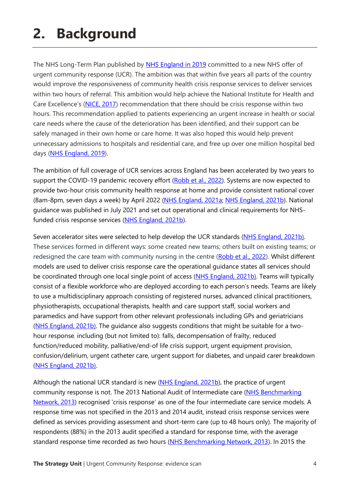# **2. Background**

The NHS Long-Term Plan published by [NHS England in 2019](https://www.longtermplan.nhs.uk/publication/nhs-long-term-plan/) committed to a new NHS offer of urgent community response (UCR). The ambition was that within five years all parts of the country would improve the responsiveness of community health crisis response services to deliver services within two hours of referral. This ambition would help achieve the National Institute for Health and Care Excellence's ([NICE, 2017\)](https://www.nice.org.uk/guidance/ng74) recommendation that there should be crisis response within two hours. This recommendation applied to patients experiencing an urgent increase in health or social care needs where the cause of the deterioration has been identified, and their support can be safely managed in their own home or care home. It was also hoped this would help prevent unnecessary admissions to hospitals and residential care, and free up over one million hospital bed days [\(NHS England, 2019\)](https://www.longtermplan.nhs.uk/publication/nhs-long-term-plan/).

The ambition of full coverage of UCR services across England has been accelerated by two years to support the COVID-19 pandemic recovery effort [\(Robb et al., 2022\)](https://www.magonlinelibrary.com/doi/abs/10.12968/bjcn.2022.27.1.6?rfr_dat=cr_pub++0pubmed&url_ver=Z39.88-2003&rfr_id=ori%3Arid%3Acrossref.org). Systems are now expected to provide two-hour crisis community health response at home and provide consistent national cover (8am-8pm, seven days a week) by April 2022 [\(NHS England, 2021a;](https://www.england.nhs.uk/wp-content/uploads/2021/03/B0468-nhs-operational-planning-and-contracting-guidance.pdf) [NHS England, 2021b\)](https://www.england.nhs.uk/publication/community-health-services-two-hour-crisis-response-standard-guidance/). National guidance was published in July 2021 and set out operational and clinical requirements for NHS-funded crisis response services [\(NHS England, 2021b\)](https://www.england.nhs.uk/publication/community-health-services-two-hour-crisis-response-standard-guidance/).

Seven accelerator sites were selected to help develop the UCR standards [\(NHS England, 2021b\)](https://www.england.nhs.uk/publication/community-health-services-two-hour-crisis-response-standard-guidance/). These services formed in different ways: some created new teams; others built on existing teams; or redesigned the care team with community nursing in the centre [\(Robb et al., 2022\)](https://www.magonlinelibrary.com/doi/abs/10.12968/bjcn.2022.27.1.6?rfr_dat=cr_pub++0pubmed&url_ver=Z39.88-2003&rfr_id=ori%3Arid%3Acrossref.org). Whilst different models are used to deliver crisis response care the operational guidance states all services should be coordinated through one local single point of access [\(NHS England, 2021b\)](https://www.england.nhs.uk/publication/community-health-services-two-hour-crisis-response-standard-guidance/). Teams will typically consist of a flexible workforce who are deployed according to each person's needs. Teams are likely to use a multidisciplinary approach consisting of registered nurses, advanced clinical practitioners, physiotherapists, occupational therapists, health and care support staff, social workers and paramedics and have support from other relevant professionals including GPs and geriatricians [\(NHS England, 2021b\)](https://www.england.nhs.uk/publication/community-health-services-two-hour-crisis-response-standard-guidance/). The guidance also suggests conditions that might be suitable for a twohour response, including (but not limited to): falls, decompensation of frailty, reduced function/reduced mobility, palliative/end-of life crisis support, urgent equipment provision, confusion/delirium, urgent catheter care, urgent support for diabetes, and unpaid carer breakdown [\(NHS England, 2021b\)](https://www.england.nhs.uk/publication/community-health-services-two-hour-crisis-response-standard-guidance/).

Although the national UCR standard is new [\(NHS England, 2021b\)](https://www.england.nhs.uk/publication/community-health-services-two-hour-crisis-response-standard-guidance/), the practice of urgent community response is not. The 2013 National Audit of Intermediate care (NHS Benchmarking [Network, 2013](https://static1.squarespace.com/static/58d8d0ffe4fcb5ad94cde63e/t/58f08f9fe3df28353c556761/1492160435696/naic-report-2013.pdf)) recognised 'crisis response' as one of the four intermediate care service models. A response time was not specified in the 2013 and 2014 audit, instead crisis response services were defined as services providing assessment and short-term care (up to 48 hours only). The majority of respondents (88%) in the 2013 audit specified a standard for response time, with the average standard response time recorded as two hours [\(NHS Benchmarking Network, 2013\)](https://static1.squarespace.com/static/58d8d0ffe4fcb5ad94cde63e/t/58f08f9fe3df28353c556761/1492160435696/naic-report-2013.pdf). In 2015 the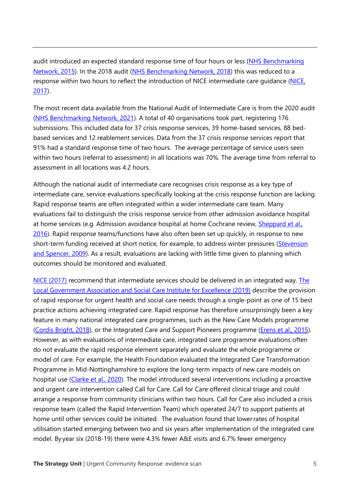audit introduced an expected standard response time of four hours or less [\(NHS Benchmarking](https://static1.squarespace.com/static/58d8d0ffe4fcb5ad94cde63e/t/58f08efae3df28353c5563f3/1492160300426/naic-report-2015.pdf)  [Network, 2015\)](https://static1.squarespace.com/static/58d8d0ffe4fcb5ad94cde63e/t/58f08efae3df28353c5563f3/1492160300426/naic-report-2015.pdf). In the 2018 audit [\(NHS Benchmarking Network, 2018\)](https://s3.eu-west-2.amazonaws.com/nhsbn-static/NAIC%20(Providers)/2018/2.%20NAIC%202018findings%20FINAL.pdf) this was reduced to a response within two hours to reflect the introduction of NICE intermediate care guidance [\(NICE,](https://www.nice.org.uk/guidance/ng74)  [2017\)](https://www.nice.org.uk/guidance/ng74).

The most recent data available from the National Audit of Intermediate Care is from the 2020 audit [\(NHS Benchmarking Network, 2021\)](http://www.communityhospitals.org.uk/IC%20summary%20report%202020%20FINAL.pdf). A total of 40 organisations took part, registering 176 submissions. This included data for 37 crisis response services, 39 home-based services, 88 bedbased services and 12 reablement services. Data from the 37 crisis response services report that 91% had a standard response time of two hours. The average percentage of service users seen within two hours (referral to assessment) in all locations was 70%. The average time from referral to assessment in all locations was 4.2 hours.

Although the national audit of intermediate care recognises crisis response as a key type of intermediate care, service evaluations specifically looking at the crisis response function are lacking. Rapid response teams are often integrated within a wider intermediate care team. Many evaluations fail to distinguish the crisis response service from other admission avoidance hospital at home services (e.g. Admission avoidance hospital at home Cochrane review, [Sheppard et al.,](https://www.cochranelibrary.com/cdsr/doi/10.1002/14651858.CD007491.pub2/epdf/full)  [2016\)](https://www.cochranelibrary.com/cdsr/doi/10.1002/14651858.CD007491.pub2/epdf/full). Rapid response teams/functions have also often been set up quickly, in response to new short-term funding received at short notice, for example, to address winter pressures [\(Stevenson](https://www.kingsfund.org.uk/sites/default/files/Developing-Intermediate-Care-guide-health-social-services-professionals-Jan-Stevenson-Linda-Spencer-The-Kings-Fund-July-2009.pdf)  [and Spencer, 2009\)](https://www.kingsfund.org.uk/sites/default/files/Developing-Intermediate-Care-guide-health-social-services-professionals-Jan-Stevenson-Linda-Spencer-The-Kings-Fund-July-2009.pdf). As a result, evaluations are lacking with little time given to planning which outcomes should be monitored and evaluated.

[NICE \(2017\)](https://www.nice.org.uk/guidance/ng74) recommend that intermediate services should be delivered in an integrated way. The [Local Government Association and Social Care Institute for Excellence \(2019\)](https://www.local.gov.uk/sites/default/files/documents/25.141%20Achieving%20integrated%20care_05.pdf) describe the provision of rapid response for urgent health and social care needs through a single-point as one of 15 best practice actions achieving integrated care. Rapid response has therefore unsurprisingly been a key feature in many national integrated care programmes, such as the New Care Models programme [\(Cordis Bright, 2018\)](https://www.cordisbright.co.uk/admin/resources/01-hsc-evidence-reviews-mcps.pdf), or the Integrated Care and Support Pioneers programme (*Erens et al., 2015*). However, as with evaluations of intermediate care, integrated care programme evaluations often do not evaluate the rapid response element separately and evaluate the whole programme or model of care. For example, the Health Foundation evaluated the Integrated Care Transformation Programme in Mid-Nottinghamshire to explore the long-term impacts of new care models on hospital use [\(Clarke et al., 2020\)](https://www.health.org.uk/publications/reports/the-long-term-impacts-of-new-care-models-on-hospital-use-midnotts). The model introduced several interventions including a proactive and urgent care intervention called Call for Care. Call for Care offered clinical triage and could arrange a response from community clinicians within two hours. Call for Care also included a crisis response team (called the Rapid Intervention Team) which operated 24/7 to support patients at home until other services could be initiated. The evaluation found that lower rates of hospital utilisation started emerging between two and six years after implementation of the integrated care model. By year six (2018-19) there were 4.3% fewer A&E visits and 6.7% fewer emergency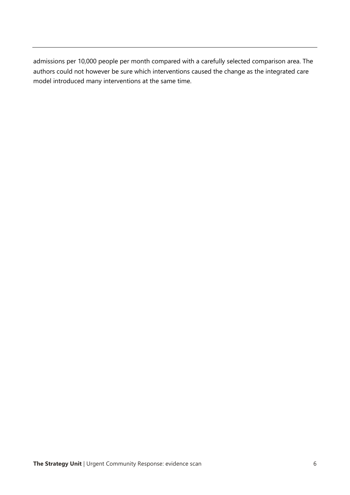admissions per 10,000 people per month compared with a carefully selected comparison area. The authors could not however be sure which interventions caused the change as the integrated care model introduced many interventions at the same time.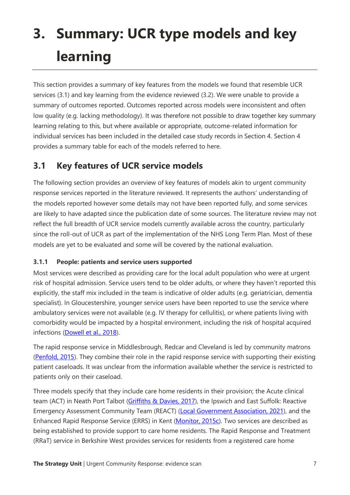# **3. Summary: UCR type models and key learning**

This section provides a summary of key features from the models we found that resemble UCR services (3.1) and key learning from the evidence reviewed (3.2). We were unable to provide a summary of outcomes reported. Outcomes reported across models were inconsistent and often low quality (e.g. lacking methodology). It was therefore not possible to draw together key summary learning relating to this, but where available or appropriate, outcome-related information for individual services has been included in the detailed case study records in Section 4. Section 4 provides a summary table for each of the models referred to here.

# **3.1 Key features of UCR service models**

The following section provides an overview of key features of models akin to urgent community response services reported in the literature reviewed. It represents the authors' understanding of the models reported however some details may not have been reported fully, and some services are likely to have adapted since the publication date of some sources. The literature review may not reflect the full breadth of UCR service models currently available across the country, particularly since the roll-out of UCR as part of the implementation of the NHS Long Term Plan. Most of these models are yet to be evaluated and some will be covered by the national evaluation.

# **3.1.1 People: patients and service users supported**

Most services were described as providing care for the local adult population who were at urgent risk of hospital admission. Service users tend to be older adults, or where they haven't reported this explicitly, the staff mix included in the team is indicative of older adults (e.g. geriatrician, dementia specialist). In Gloucestershire, younger service users have been reported to use the service where ambulatory services were not available (e.g. IV therapy for cellulitis), or where patients living with comorbidity would be impacted by a hospital environment, including the risk of hospital acquired infections [\(Dowell et al., 2018\)](https://pubmed.ncbi.nlm.nih.gov/29323989/).

The rapid response service in Middlesbrough, Redcar and Cleveland is led by community matrons [\(Penfold, 2015\)](https://journals.rcni.com/doi/abs/10.7748/phc.25.7.8.s9). They combine their role in the rapid response service with supporting their existing patient caseloads. It was unclear from the information available whether the service is restricted to patients only on their caseload.

Three models specify that they include care home residents in their provision; the Acute clinical team (ACT) in Neath Port Talbot [\(Griffiths & Davies, 2017\)](https://www.nursingtimes.net/roles/district-and-community-nurses/reducing-hospital-admissions-with-person-centred-intermediate-care-30-01-2017/), the Ipswich and East Suffolk: Reactive Emergency Assessment Community Team (REACT) [\(Local Government Association, 2021\)](https://www.local.gov.uk/case-studies/reactive-emergency-assessment-community-team-creating-fully-integrated-admission), and the Enhanced Rapid Response Service (ERRS) in Kent [\(Monitor, 2015c\)](https://assets.publishing.service.gov.uk/government/uploads/system/uploads/attachment_data/file/459193/Kent_Community_Health.pdf). Two services are described as being established to provide support to care home residents. The Rapid Response and Treatment (RRaT) service in Berkshire West provides services for residents from a registered care home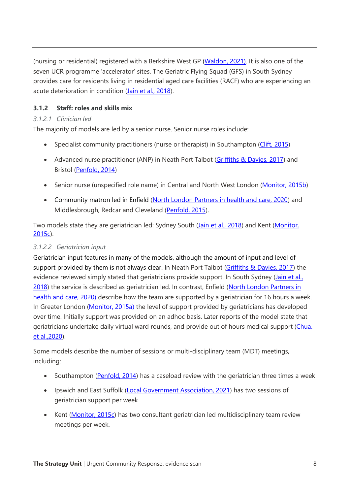(nursing or residential) registered with a Berkshire West GP [\(Waldon, 2021\)](https://www.magonlinelibrary.com/doi/abs/10.12968/bjcn.2021.26.1.6). It is also one of the seven UCR programme 'accelerator' sites. The Geriatric Flying Squad (GFS) in South Sydney provides care for residents living in residential aged care facilities (RACF) who are experiencing an acute deterioration in condition [\(Jain et al., 2018\)](https://pubmed.ncbi.nlm.nih.gov/29314516/).

# **3.1.2 Staff: roles and skills mix**

## *3.1.2.1 Clinician led*

The majority of models are led by a senior nurse. Senior nurse roles include:

- Specialist community practitioners (nurse or therapist) in Southampton [\(Clift, 2015\)](https://www.researchgate.net/publication/284729292_How_a_rapid_response_team_is_supporting_people_to_remain_at_home)
- Advanced nurse practitioner (ANP) in Neath Port Talbot [\(Griffiths & Davies, 2017\)](https://www.nursingtimes.net/roles/district-and-community-nurses/reducing-hospital-admissions-with-person-centred-intermediate-care-30-01-2017/) and Bristol [\(Penfold, 2014\)](https://journals.rcni.com/doi/abs/10.7748/phc.24.5.8.s9)
- Senior nurse (unspecified role name) in Central and North West London [\(Monitor, 2015b\)](https://assets.publishing.service.gov.uk/government/uploads/system/uploads/attachment_data/file/459191/CNWL.pdf)
- Community matron led in Enfield [\(North London Partners in health and care, 2020\)](https://www.northlondonpartners.org.uk/downloads/plans/Mental%20Health/Dementia%20care%20in%20NCL/report-dementia-supporting-older-peoples-mental-health-CHAT.pdf) and Middlesbrough, Redcar and Cleveland [\(Penfold, 2015\)](https://journals.rcni.com/doi/abs/10.7748/phc.25.7.8.s9).

Two models state they are geriatrician led: Sydney South [\(Jain et al., 2018\)](https://pubmed.ncbi.nlm.nih.gov/29314516/) and Kent (Monitor, [2015c\)](https://assets.publishing.service.gov.uk/government/uploads/system/uploads/attachment_data/file/459193/Kent_Community_Health.pdf).

## *3.1.2.2 Geriatrician input*

Geriatrician input features in many of the models, although the amount of input and level of support provided by them is not always clear. In Neath Port Talbot [\(Griffiths & Davies, 2017\)](https://www.nursingtimes.net/roles/district-and-community-nurses/reducing-hospital-admissions-with-person-centred-intermediate-care-30-01-2017/) the evidence reviewed simply stated that geriatricians provide support. In South Sydney (Jain et al., [2018\)](https://pubmed.ncbi.nlm.nih.gov/29314516/) the service is described as geriatrician led. In contrast, Enfield [\(North London Partners in](https://www.northlondonpartners.org.uk/downloads/plans/Mental%20Health/Dementia%20care%20in%20NCL/report-dementia-supporting-older-peoples-mental-health-CHAT.pdf)  [health and care, 2020\)](https://www.northlondonpartners.org.uk/downloads/plans/Mental%20Health/Dementia%20care%20in%20NCL/report-dementia-supporting-older-peoples-mental-health-CHAT.pdf) describe how the team are supported by a geriatrician for 16 hours a week. In Greater London [\(Monitor, 2015a\)](https://assets.publishing.service.gov.uk/government/uploads/system/uploads/attachment_data/file/458979/London_North_West_.pdf) the level of support provided by geriatricians has developed over time. Initially support was provided on an adhoc basis. Later reports of the model state that geriatricians undertake daily virtual ward rounds, and provide out of hours medical support [\(Chua.](https://www.researchgate.net/publication/343106927_The_short-term_assessment_rehabilitation_reablement_service_starrs_a_rapid_response_team_to_support_the_frail_older_person_to_remain_at_home)  [et al.,2020\)](https://www.researchgate.net/publication/343106927_The_short-term_assessment_rehabilitation_reablement_service_starrs_a_rapid_response_team_to_support_the_frail_older_person_to_remain_at_home).

Some models describe the number of sessions or multi-disciplinary team (MDT) meetings, including:

- Southampton [\(Penfold, 2014\)](https://journals.rcni.com/doi/abs/10.7748/phc.24.5.8.s9) has a caseload review with the geriatrician three times a week
- Ipswich and East Suffolk [\(Local Government Association, 2021\)](https://www.local.gov.uk/case-studies/reactive-emergency-assessment-community-team-creating-fully-integrated-admission) has two sessions of geriatrician support per week
- Kent [\(Monitor, 2015c\)](https://assets.publishing.service.gov.uk/government/uploads/system/uploads/attachment_data/file/459193/Kent_Community_Health.pdf) has two consultant geriatrician led multidisciplinary team review meetings per week.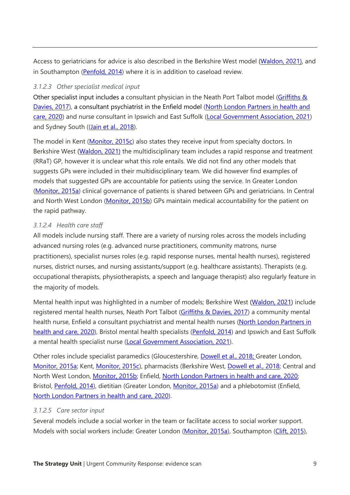Access to geriatricians for advice is also described in the Berkshire West model [\(Waldon, 2021\)](https://www.magonlinelibrary.com/doi/abs/10.12968/bjcn.2021.26.1.6), and in Southampton [\(Penfold, 2014\)](https://journals.rcni.com/doi/abs/10.7748/phc.24.5.8.s9) where it is in addition to caseload review.

## *3.1.2.3 Other specialist medical input*

Other specialist input includes a consultant physician in the Neath Port Talbot model (Griffiths & [Davies, 2017\)](https://www.nursingtimes.net/roles/district-and-community-nurses/reducing-hospital-admissions-with-person-centred-intermediate-care-30-01-2017/), a consultant psychiatrist in the Enfield model [\(North London Partners in health and](https://www.northlondonpartners.org.uk/downloads/plans/Mental%20Health/Dementia%20care%20in%20NCL/report-dementia-supporting-older-peoples-mental-health-CHAT.pdf)  [care, 2020\)](https://www.northlondonpartners.org.uk/downloads/plans/Mental%20Health/Dementia%20care%20in%20NCL/report-dementia-supporting-older-peoples-mental-health-CHAT.pdf) and nurse consultant in Ipswich and East Suffolk [\(Local Government Association, 2021\)](https://www.local.gov.uk/case-studies/reactive-emergency-assessment-community-team-creating-fully-integrated-admission) and Sydney South ([\(Jain et al., 2018\)](https://pubmed.ncbi.nlm.nih.gov/29314516/).

The model in Kent [\(Monitor, 2015c\)](https://assets.publishing.service.gov.uk/government/uploads/system/uploads/attachment_data/file/459193/Kent_Community_Health.pdf) also states they receive input from specialty doctors. In Berkshire West [\(Waldon, 2021\)](https://www.magonlinelibrary.com/doi/abs/10.12968/bjcn.2021.26.1.6) the multidisciplinary team includes a rapid response and treatment (RRaT) GP, however it is unclear what this role entails. We did not find any other models that suggests GPs were included in their multidisciplinary team. We did however find examples of models that suggested GPs are accountable for patients using the service. In Greater London [\(Monitor, 2015a\)](https://assets.publishing.service.gov.uk/government/uploads/system/uploads/attachment_data/file/458979/London_North_West_.pdf) clinical governance of patients is shared between GPs and geriatricians. In Central and North West London [\(Monitor, 2015b\)](https://assets.publishing.service.gov.uk/government/uploads/system/uploads/attachment_data/file/459191/CNWL.pdf) GPs maintain medical accountability for the patient on the rapid pathway.

# *3.1.2.4 Health care staff*

All models include nursing staff. There are a variety of nursing roles across the models including advanced nursing roles (e.g. advanced nurse practitioners, community matrons, nurse practitioners), specialist nurses roles (e.g. rapid response nurses, mental health nurses), registered nurses, district nurses, and nursing assistants/support (e.g. healthcare assistants). Therapists (e.g. occupational therapists, physiotherapists, a speech and language therapist) also regularly feature in the majority of models.

Mental health input was highlighted in a number of models; Berkshire West [\(Waldon, 2021\)](https://www.magonlinelibrary.com/doi/abs/10.12968/bjcn.2021.26.1.6) include registered mental health nurses, Neath Port Talbot [\(Griffiths & Davies, 2017\)](https://www.nursingtimes.net/roles/district-and-community-nurses/reducing-hospital-admissions-with-person-centred-intermediate-care-30-01-2017/) a community mental health nurse, Enfield a consultant psychiatrist and mental health nurses (North London Partners in [health and care, 2020\)](https://www.northlondonpartners.org.uk/downloads/plans/Mental%20Health/Dementia%20care%20in%20NCL/report-dementia-supporting-older-peoples-mental-health-CHAT.pdf), Bristol mental health specialists [\(Penfold, 2014\)](https://journals.rcni.com/doi/abs/10.7748/phc.24.5.8.s9) and Ipswich and East Suffolk a mental health specialist nurse [\(Local Government Association, 2021\)](https://www.local.gov.uk/case-studies/reactive-emergency-assessment-community-team-creating-fully-integrated-admission).

Other roles include specialist paramedics (Gloucestershire, [Dowell et al., 2018;](https://pubmed.ncbi.nlm.nih.gov/29323989/) Greater London, [Monitor, 2015a;](https://assets.publishing.service.gov.uk/government/uploads/system/uploads/attachment_data/file/458979/London_North_West_.pdf) Kent, [Monitor, 2015c\)](https://assets.publishing.service.gov.uk/government/uploads/system/uploads/attachment_data/file/459193/Kent_Community_Health.pdf), pharmacists (Berkshire West, [Dowell et al., 2018;](https://pubmed.ncbi.nlm.nih.gov/29323989/) Central and North West London, [Monitor, 2015b;](https://assets.publishing.service.gov.uk/government/uploads/system/uploads/attachment_data/file/459191/CNWL.pdf) Enfield, [North London Partners in health and care, 2020;](https://www.northlondonpartners.org.uk/downloads/plans/Mental%20Health/Dementia%20care%20in%20NCL/report-dementia-supporting-older-peoples-mental-health-CHAT.pdf) Bristol, [Penfold, 2014\)](https://journals.rcni.com/doi/abs/10.7748/phc.24.5.8.s9), dietitian (Greater London, [Monitor, 2015a\)](https://assets.publishing.service.gov.uk/government/uploads/system/uploads/attachment_data/file/458979/London_North_West_.pdf) and a phlebotomist (Enfield, [North London Partners in health and care, 2020\)](https://www.northlondonpartners.org.uk/downloads/plans/Mental%20Health/Dementia%20care%20in%20NCL/report-dementia-supporting-older-peoples-mental-health-CHAT.pdf).

# *3.1.2.5 Care sector input*

Several models include a social worker in the team or facilitate access to social worker support. Models with social workers include: Greater London [\(Monitor, 2015a\)](https://assets.publishing.service.gov.uk/government/uploads/system/uploads/attachment_data/file/458979/London_North_West_.pdf), Southampton [\(Clift, 2015\)](https://www.researchgate.net/publication/284729292_How_a_rapid_response_team_is_supporting_people_to_remain_at_home),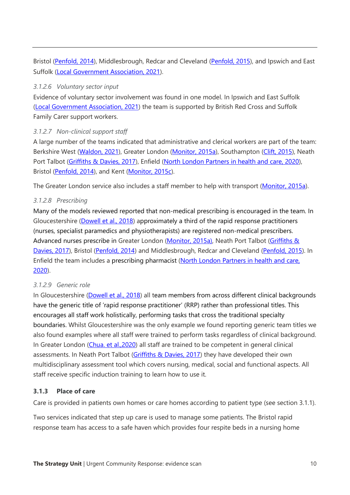Bristol [\(Penfold, 2014\)](https://journals.rcni.com/doi/abs/10.7748/phc.24.5.8.s9), Middlesbrough, Redcar and Cleveland [\(Penfold, 2015\)](https://journals.rcni.com/doi/abs/10.7748/phc.25.7.8.s9), and Ipswich and East Suffolk [\(Local Government Association, 2021\)](https://www.local.gov.uk/case-studies/reactive-emergency-assessment-community-team-creating-fully-integrated-admission).

### *3.1.2.6 Voluntary sector input*

Evidence of voluntary sector involvement was found in one model. In Ipswich and East Suffolk [\(Local Government Association, 2021\)](https://www.local.gov.uk/case-studies/reactive-emergency-assessment-community-team-creating-fully-integrated-admission) the team is supported by British Red Cross and Suffolk Family Carer support workers.

## *3.1.2.7 Non-clinical support staff*

A large number of the teams indicated that administrative and clerical workers are part of the team: Berkshire West [\(Waldon, 2021\)](https://www.magonlinelibrary.com/doi/abs/10.12968/bjcn.2021.26.1.6), Greater London [\(Monitor, 2015a\)](https://assets.publishing.service.gov.uk/government/uploads/system/uploads/attachment_data/file/458979/London_North_West_.pdf), Southampton [\(Clift, 2015\)](https://www.researchgate.net/publication/284729292_How_a_rapid_response_team_is_supporting_people_to_remain_at_home), Neath Port Talbot [\(Griffiths & Davies, 2017\)](https://www.nursingtimes.net/roles/district-and-community-nurses/reducing-hospital-admissions-with-person-centred-intermediate-care-30-01-2017/), Enfield [\(North London Partners in health and care, 2020\)](https://www.northlondonpartners.org.uk/downloads/plans/Mental%20Health/Dementia%20care%20in%20NCL/report-dementia-supporting-older-peoples-mental-health-CHAT.pdf), Bristol [\(Penfold, 2014\)](https://journals.rcni.com/doi/abs/10.7748/phc.24.5.8.s9), and Kent [\(Monitor, 2015c\)](https://assets.publishing.service.gov.uk/government/uploads/system/uploads/attachment_data/file/459193/Kent_Community_Health.pdf).

The Greater London service also includes a staff member to help with transport [\(Monitor, 2015a\)](https://assets.publishing.service.gov.uk/government/uploads/system/uploads/attachment_data/file/458979/London_North_West_.pdf).

# *3.1.2.8 Prescribing*

Many of the models reviewed reported that non-medical prescribing is encouraged in the team. In Gloucestershire [\(Dowell et al., 2018\)](https://pubmed.ncbi.nlm.nih.gov/29323989/) approximately a third of the rapid response practitioners (nurses, specialist paramedics and physiotherapists) are registered non-medical prescribers. Advanced nurses prescribe in Greater London [\(Monitor, 2015a\)](https://assets.publishing.service.gov.uk/government/uploads/system/uploads/attachment_data/file/458979/London_North_West_.pdf), Neath Port Talbot (Griffiths & [Davies, 2017\)](https://www.nursingtimes.net/roles/district-and-community-nurses/reducing-hospital-admissions-with-person-centred-intermediate-care-30-01-2017/), Bristol [\(Penfold, 2014\)](https://journals.rcni.com/doi/abs/10.7748/phc.24.5.8.s9) and Middlesbrough, Redcar and Cleveland [\(Penfold, 2015\)](https://journals.rcni.com/doi/abs/10.7748/phc.25.7.8.s9). In Enfield the team includes a prescribing pharmacist [\(North London Partners in health and care,](https://www.northlondonpartners.org.uk/downloads/plans/Mental%20Health/Dementia%20care%20in%20NCL/report-dementia-supporting-older-peoples-mental-health-CHAT.pdf)  [2020\)](https://www.northlondonpartners.org.uk/downloads/plans/Mental%20Health/Dementia%20care%20in%20NCL/report-dementia-supporting-older-peoples-mental-health-CHAT.pdf).

## *3.1.2.9 Generic role*

In Gloucestershire [\(Dowell et al., 2018\)](https://pubmed.ncbi.nlm.nih.gov/29323989/) all team members from across different clinical backgrounds have the generic title of 'rapid response practitioner' (RRP) rather than professional titles. This encourages all staff work holistically, performing tasks that cross the traditional specialty boundaries. Whilst Gloucestershire was the only example we found reporting generic team titles we also found examples where all staff were trained to perform tasks regardless of clinical background. In Greater London [\(Chua. et al.,2020\)](https://www.researchgate.net/publication/343106927_The_short-term_assessment_rehabilitation_reablement_service_starrs_a_rapid_response_team_to_support_the_frail_older_person_to_remain_at_home) all staff are trained to be competent in general clinical assessments. In Neath Port Talbot [\(Griffiths & Davies, 2017\)](https://www.nursingtimes.net/roles/district-and-community-nurses/reducing-hospital-admissions-with-person-centred-intermediate-care-30-01-2017/) they have developed their own multidisciplinary assessment tool which covers nursing, medical, social and functional aspects. All staff receive specific induction training to learn how to use it.

## **3.1.3 Place of care**

Care is provided in patients own homes or care homes according to patient type (see section 3.1.1).

Two services indicated that step up care is used to manage some patients. The Bristol rapid response team has access to a safe haven which provides four respite beds in a nursing home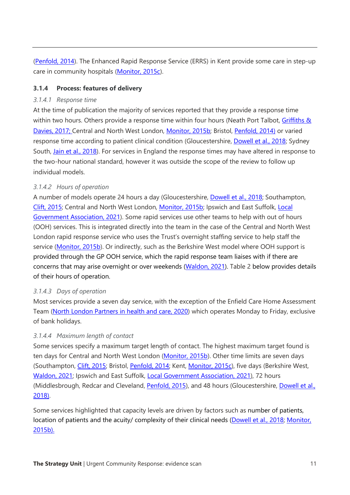[\(Penfold, 2014\)](https://journals.rcni.com/doi/abs/10.7748/phc.24.5.8.s9). The Enhanced Rapid Response Service (ERRS) in Kent provide some care in step-up care in community hospitals [\(Monitor, 2015c\)](https://assets.publishing.service.gov.uk/government/uploads/system/uploads/attachment_data/file/459193/Kent_Community_Health.pdf).

## **3.1.4 Process: features of delivery**

## *3.1.4.1 Response time*

At the time of publication the majority of services reported that they provide a response time within two hours. Others provide a response time within four hours (Neath Port Talbot, Griffiths & [Davies, 2017;](https://www.nursingtimes.net/roles/district-and-community-nurses/reducing-hospital-admissions-with-person-centred-intermediate-care-30-01-2017/) Central and North West London, [Monitor, 2015b;](https://assets.publishing.service.gov.uk/government/uploads/system/uploads/attachment_data/file/459191/CNWL.pdf) Bristol, [Penfold, 2014\)](https://journals.rcni.com/doi/abs/10.7748/phc.24.5.8.s9) or varied response time according to patient clinical condition (Gloucestershire, [Dowell et al., 2018;](https://pubmed.ncbi.nlm.nih.gov/29323989/) Sydney South, Jain et [al., 2018\)](https://pubmed.ncbi.nlm.nih.gov/29314516/). For services in England the response times may have altered in response to the two-hour national standard, however it was outside the scope of the review to follow up individual models.

# *3.1.4.2 Hours of operation*

A number of models operate 24 hours a day (Gloucestershire, [Dowell et al., 2018;](https://pubmed.ncbi.nlm.nih.gov/29323989/) Southampton, [Clift, 2015;](https://www.researchgate.net/publication/284729292_How_a_rapid_response_team_is_supporting_people_to_remain_at_home) Central and North West London, [Monitor, 2015b;](https://assets.publishing.service.gov.uk/government/uploads/system/uploads/attachment_data/file/459191/CNWL.pdf) Ipswich and East Suffolk, [Local](https://www.local.gov.uk/case-studies/reactive-emergency-assessment-community-team-creating-fully-integrated-admission)  [Government Association, 2021\)](https://www.local.gov.uk/case-studies/reactive-emergency-assessment-community-team-creating-fully-integrated-admission). Some rapid services use other teams to help with out of hours (OOH) services. This is integrated directly into the team in the case of the Central and North West London rapid response service who uses the Trust's overnight staffing service to help staff the service [\(Monitor, 2015b\)](https://assets.publishing.service.gov.uk/government/uploads/system/uploads/attachment_data/file/459191/CNWL.pdf). Or indirectly, such as the Berkshire West model where OOH support is provided through the GP OOH service, which the rapid response team liaises with if there are concerns that may arise overnight or over weekends [\(Waldon, 2021\)](https://www.magonlinelibrary.com/doi/abs/10.12968/bjcn.2021.26.1.6). [Table 2](#page-15-0) below provides details of their hours of operation.

# *3.1.4.3 Days of operation*

Most services provide a seven day service, with the exception of the Enfield Care Home Assessment Team [\(North London Partners in health and care, 2020\)](https://www.northlondonpartners.org.uk/downloads/plans/Mental%20Health/Dementia%20care%20in%20NCL/report-dementia-supporting-older-peoples-mental-health-CHAT.pdf) which operates Monday to Friday, exclusive of bank holidays.

# *3.1.4.4 Maximum length of contact*

Some services specify a maximum target length of contact. The highest maximum target found is ten days for Central and North West London [\(Monitor, 2015b\)](https://assets.publishing.service.gov.uk/government/uploads/system/uploads/attachment_data/file/459191/CNWL.pdf). Other time limits are seven days (Southampton, [Clift, 2015;](https://www.researchgate.net/publication/284729292_How_a_rapid_response_team_is_supporting_people_to_remain_at_home) Bristol, [Penfold, 2014;](https://journals.rcni.com/doi/abs/10.7748/phc.24.5.8.s9) Kent, [Monitor, 2015c\)](https://assets.publishing.service.gov.uk/government/uploads/system/uploads/attachment_data/file/459193/Kent_Community_Health.pdf), five days (Berkshire West, [Waldon, 2021;](https://www.magonlinelibrary.com/doi/abs/10.12968/bjcn.2021.26.1.6) Ipswich and East Suffolk, [Local Government Association, 2021\)](https://www.local.gov.uk/case-studies/reactive-emergency-assessment-community-team-creating-fully-integrated-admission), 72 hours (Middlesbrough, Redcar and Cleveland, [Penfold, 2015\)](https://journals.rcni.com/doi/abs/10.7748/phc.25.7.8.s9), and 48 hours (Gloucestershire, [Dowell et al.,](https://pubmed.ncbi.nlm.nih.gov/29323989/)  [2018\)](https://pubmed.ncbi.nlm.nih.gov/29323989/).

Some services highlighted that capacity levels are driven by factors such as number of patients, location of patients and the acuity/ complexity of their clinical needs [\(Dowell et al., 2018;](https://pubmed.ncbi.nlm.nih.gov/29323989/) [Monitor,](https://assets.publishing.service.gov.uk/government/uploads/system/uploads/attachment_data/file/459191/CNWL.pdf)  [2015b\)](https://assets.publishing.service.gov.uk/government/uploads/system/uploads/attachment_data/file/459191/CNWL.pdf).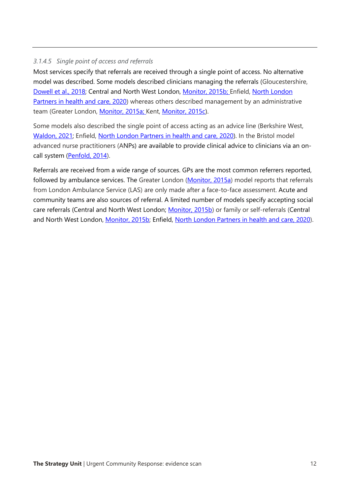## *3.1.4.5 Single point of access and referrals*

Most services specify that referrals are received through a single point of access. No alternative model was described. Some models described clinicians managing the referrals (Gloucestershire, [Dowell et al., 2018;](https://pubmed.ncbi.nlm.nih.gov/29323989/) Central and North West London, [Monitor, 2015b;](https://assets.publishing.service.gov.uk/government/uploads/system/uploads/attachment_data/file/459191/CNWL.pdf) Enfield, [North London](https://www.northlondonpartners.org.uk/downloads/plans/Mental%20Health/Dementia%20care%20in%20NCL/report-dementia-supporting-older-peoples-mental-health-CHAT.pdf)  [Partners in health and care, 2020\)](https://www.northlondonpartners.org.uk/downloads/plans/Mental%20Health/Dementia%20care%20in%20NCL/report-dementia-supporting-older-peoples-mental-health-CHAT.pdf) whereas others described management by an administrative team (Greater London, [Monitor, 2015a;](https://assets.publishing.service.gov.uk/government/uploads/system/uploads/attachment_data/file/458979/London_North_West_.pdf) Kent, [Monitor, 2015c\)](https://assets.publishing.service.gov.uk/government/uploads/system/uploads/attachment_data/file/459193/Kent_Community_Health.pdf).

Some models also described the single point of access acting as an advice line (Berkshire West, [Waldon, 2021;](https://www.magonlinelibrary.com/doi/abs/10.12968/bjcn.2021.26.1.6) Enfield, [North London Partners in health and care, 2020\)](https://www.northlondonpartners.org.uk/downloads/plans/Mental%20Health/Dementia%20care%20in%20NCL/report-dementia-supporting-older-peoples-mental-health-CHAT.pdf). In the Bristol model advanced nurse practitioners (ANPs) are available to provide clinical advice to clinicians via an oncall system [\(Penfold, 2014\)](https://journals.rcni.com/doi/abs/10.7748/phc.24.5.8.s9).

Referrals are received from a wide range of sources. GPs are the most common referrers reported, followed by ambulance services. The Greater London [\(Monitor, 2015a\)](https://assets.publishing.service.gov.uk/government/uploads/system/uploads/attachment_data/file/458979/London_North_West_.pdf) model reports that referrals from London Ambulance Service (LAS) are only made after a face-to-face assessment. Acute and community teams are also sources of referral. A limited number of models specify accepting social care referrals (Central and North West London; [Monitor, 2015b\)](https://assets.publishing.service.gov.uk/government/uploads/system/uploads/attachment_data/file/459191/CNWL.pdf) or family or self-referrals (Central and North West London, [Monitor, 2015b;](https://assets.publishing.service.gov.uk/government/uploads/system/uploads/attachment_data/file/459191/CNWL.pdf) Enfield, [North London Partners in health and care, 2020\)](https://www.northlondonpartners.org.uk/downloads/plans/Mental%20Health/Dementia%20care%20in%20NCL/report-dementia-supporting-older-peoples-mental-health-CHAT.pdf).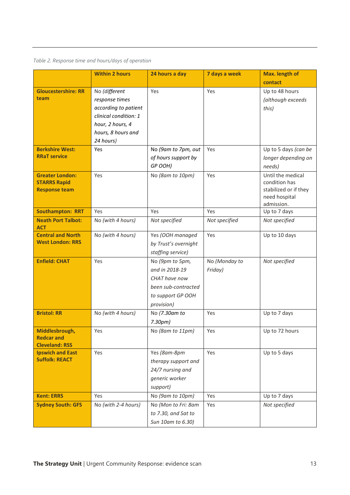# <span id="page-15-0"></span>*Table 2. Response time and hours/days of operation*

|                                                                       | <b>Within 2 hours</b>                                                                                                                   | 24 hours a day                                                                                               | 7 days a week            | Max. length of                                                                             |
|-----------------------------------------------------------------------|-----------------------------------------------------------------------------------------------------------------------------------------|--------------------------------------------------------------------------------------------------------------|--------------------------|--------------------------------------------------------------------------------------------|
|                                                                       |                                                                                                                                         |                                                                                                              |                          | contact                                                                                    |
| <b>Gloucestershire: RR</b><br>team                                    | No (different<br>response times<br>according to patient<br>clinical condition: 1<br>hour, 2 hours, 4<br>hours, 8 hours and<br>24 hours) | Yes                                                                                                          | Yes                      | Up to 48 hours<br>(although exceeds<br>this)                                               |
| <b>Berkshire West:</b><br><b>RRaT service</b>                         | Yes                                                                                                                                     | No (9am to 7pm, out<br>of hours support by<br>GP OOH)                                                        | Yes                      | Up to 5 days (can be<br>longer depending on<br>needs)                                      |
| <b>Greater London:</b><br><b>STARRS Rapid</b><br><b>Response team</b> | Yes                                                                                                                                     | No (8am to 10pm)                                                                                             | Yes                      | Until the medical<br>condition has<br>stabilized or if they<br>need hospital<br>admission. |
| <b>Southampton: RRT</b>                                               | Yes                                                                                                                                     | Yes                                                                                                          | Yes                      | Up to 7 days                                                                               |
| <b>Neath Port Talbot:</b><br><b>ACT</b>                               | No (with 4 hours)                                                                                                                       | Not specified                                                                                                | Not specified            | Not specified                                                                              |
| <b>Central and North</b><br><b>West London: RRS</b>                   | No (with 4 hours)                                                                                                                       | Yes (OOH managed<br>by Trust's overnight<br>staffing service)                                                | Yes                      | Up to 10 days                                                                              |
| <b>Enfield: CHAT</b>                                                  | Yes                                                                                                                                     | No (9pm to 5pm,<br>and in 2018-19<br>CHAT have now<br>been sub-contracted<br>to support GP OOH<br>provision) | No (Monday to<br>Friday) | Not specified                                                                              |
| <b>Bristol: RR</b>                                                    | No (with 4 hours)                                                                                                                       | No (7.30am to<br>7.30pm)                                                                                     | Yes                      | Up to 7 days                                                                               |
| Middlesbrough,<br><b>Redcar and</b><br><b>Cleveland: RSS</b>          | Yes                                                                                                                                     | No (8am to 11pm)                                                                                             | Yes                      | Up to 72 hours                                                                             |
| <b>Ipswich and East</b><br><b>Suffolk: REACT</b>                      | Yes                                                                                                                                     | Yes (8am-8pm<br>therapy support and<br>24/7 nursing and<br>generic worker<br>support)                        | Yes                      | Up to 5 days                                                                               |
| <b>Kent: ERRS</b>                                                     | Yes                                                                                                                                     | No (9am to 10pm)                                                                                             | Yes                      | Up to 7 days                                                                               |
| <b>Sydney South: GFS</b>                                              | No (with 2-4 hours)                                                                                                                     | No (Mon to Fri: 8am<br>to 7.30, and Sat to<br>Sun 10am to 6.30)                                              | Yes                      | Not specified                                                                              |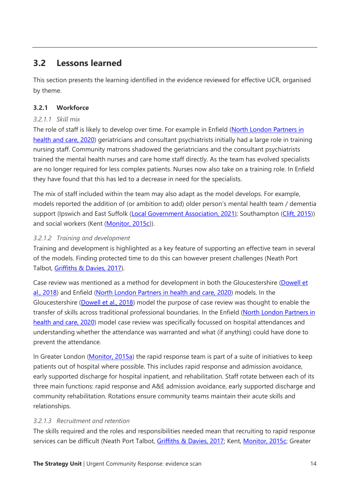# **3.2 Lessons learned**

This section presents the learning identified in the evidence reviewed for effective UCR, organised by theme.

# **3.2.1 Workforce**

# *3.2.1.1 Skill mix*

The role of staff is likely to develop over time. For example in Enfield [\(North London Partners in](https://www.northlondonpartners.org.uk/downloads/plans/Mental%20Health/Dementia%20care%20in%20NCL/report-dementia-supporting-older-peoples-mental-health-CHAT.pdf)  [health and care, 2020\)](https://www.northlondonpartners.org.uk/downloads/plans/Mental%20Health/Dementia%20care%20in%20NCL/report-dementia-supporting-older-peoples-mental-health-CHAT.pdf) geriatricians and consultant psychiatrists initially had a large role in training nursing staff. Community matrons shadowed the geriatricians and the consultant psychiatrists trained the mental health nurses and care home staff directly. As the team has evolved specialists are no longer required for less complex patients. Nurses now also take on a training role. In Enfield they have found that this has led to a decrease in need for the specialists.

The mix of staff included within the team may also adapt as the model develops. For example, models reported the addition of (or ambition to add) older person's mental health team / dementia support (Ipswich and East Suffolk [\(Local Government Association, 2021\)](https://www.local.gov.uk/case-studies/reactive-emergency-assessment-community-team-creating-fully-integrated-admission); Southampton [\(Clift, 2015\)](https://www.researchgate.net/publication/284729292_How_a_rapid_response_team_is_supporting_people_to_remain_at_home)) and social workers (Kent [\(Monitor, 2015c\)](https://assets.publishing.service.gov.uk/government/uploads/system/uploads/attachment_data/file/459193/Kent_Community_Health.pdf)).

# *3.2.1.2 Training and development*

Training and development is highlighted as a key feature of supporting an effective team in several of the models. Finding protected time to do this can however present challenges (Neath Port Talbot, [Griffiths & Davies, 2017\)](https://www.nursingtimes.net/roles/district-and-community-nurses/reducing-hospital-admissions-with-person-centred-intermediate-care-30-01-2017/).

Case review was mentioned as a method for development in both the Gloucestershire (Dowell et [al., 2018\)](https://pubmed.ncbi.nlm.nih.gov/29323989/) and Enfield [\(North London Partners in health and care, 2020\)](https://www.northlondonpartners.org.uk/downloads/plans/Mental%20Health/Dementia%20care%20in%20NCL/report-dementia-supporting-older-peoples-mental-health-CHAT.pdf) models. In the Gloucestershire [\(Dowell et al., 2018\)](https://pubmed.ncbi.nlm.nih.gov/29323989/) model the purpose of case review was thought to enable the transfer of skills across traditional professional boundaries. In the Enfield [\(North London Partners in](https://www.northlondonpartners.org.uk/downloads/plans/Mental%20Health/Dementia%20care%20in%20NCL/report-dementia-supporting-older-peoples-mental-health-CHAT.pdf)  [health and care, 2020\)](https://www.northlondonpartners.org.uk/downloads/plans/Mental%20Health/Dementia%20care%20in%20NCL/report-dementia-supporting-older-peoples-mental-health-CHAT.pdf) model case review was specifically focussed on hospital attendances and understanding whether the attendance was warranted and what (if anything) could have done to prevent the attendance.

In Greater London [\(Monitor, 2015a\)](https://assets.publishing.service.gov.uk/government/uploads/system/uploads/attachment_data/file/458979/London_North_West_.pdf) the rapid response team is part of a suite of initiatives to keep patients out of hospital where possible. This includes rapid response and admission avoidance, early supported discharge for hospital inpatient, and rehabilitation. Staff rotate between each of its three main functions: rapid response and A&E admission avoidance, early supported discharge and community rehabilitation. Rotations ensure community teams maintain their acute skills and relationships.

# *3.2.1.3 Recruitment and retention*

The skills required and the roles and responsibilities needed mean that recruiting to rapid response services can be difficult (Neath Port Talbot, [Griffiths & Davies, 2017;](https://www.nursingtimes.net/roles/district-and-community-nurses/reducing-hospital-admissions-with-person-centred-intermediate-care-30-01-2017/) Kent, [Monitor, 2015c;](https://assets.publishing.service.gov.uk/government/uploads/system/uploads/attachment_data/file/459193/Kent_Community_Health.pdf) Greater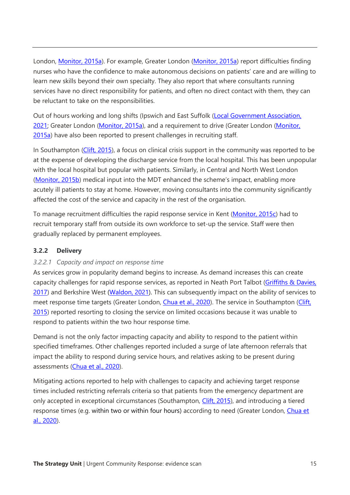London, [Monitor, 2015a\)](https://assets.publishing.service.gov.uk/government/uploads/system/uploads/attachment_data/file/458979/London_North_West_.pdf). For example, Greater London [\(Monitor, 2015a\)](https://assets.publishing.service.gov.uk/government/uploads/system/uploads/attachment_data/file/458979/London_North_West_.pdf) report difficulties finding nurses who have the confidence to make autonomous decisions on patients' care and are willing to learn new skills beyond their own specialty. They also report that where consultants running services have no direct responsibility for patients, and often no direct contact with them, they can be reluctant to take on the responsibilities.

Out of hours working and long shifts (Ipswich and East Suffolk [\(Local Government Association,](https://www.local.gov.uk/case-studies/reactive-emergency-assessment-community-team-creating-fully-integrated-admission)  [2021;](https://www.local.gov.uk/case-studies/reactive-emergency-assessment-community-team-creating-fully-integrated-admission) Greater London [\(Monitor, 2015a\)](https://assets.publishing.service.gov.uk/government/uploads/system/uploads/attachment_data/file/458979/London_North_West_.pdf), and a requirement to drive (Greater London [\(Monitor,](https://assets.publishing.service.gov.uk/government/uploads/system/uploads/attachment_data/file/458979/London_North_West_.pdf)  [2015a\)](https://assets.publishing.service.gov.uk/government/uploads/system/uploads/attachment_data/file/458979/London_North_West_.pdf) have also been reported to present challenges in recruiting staff.

In Southampton [\(Clift, 2015\)](https://www.researchgate.net/publication/284729292_How_a_rapid_response_team_is_supporting_people_to_remain_at_home), a focus on clinical crisis support in the community was reported to be at the expense of developing the discharge service from the local hospital. This has been unpopular with the local hospital but popular with patients. Similarly, in Central and North West London [\(Monitor, 2015b\)](https://assets.publishing.service.gov.uk/government/uploads/system/uploads/attachment_data/file/459191/CNWL.pdf) medical input into the MDT enhanced the scheme's impact, enabling more acutely ill patients to stay at home. However, moving consultants into the community significantly affected the cost of the service and capacity in the rest of the organisation.

To manage recruitment difficulties the rapid response service in Kent [\(Monitor, 2015c\)](https://assets.publishing.service.gov.uk/government/uploads/system/uploads/attachment_data/file/459193/Kent_Community_Health.pdf) had to recruit temporary staff from outside its own workforce to set-up the service. Staff were then gradually replaced by permanent employees.

## **3.2.2 Delivery**

## *3.2.2.1 Capacity and impact on response time*

As services grow in popularity demand begins to increase. As demand increases this can create capacity challenges for rapid response services, as reported in Neath Port Talbot (Griffiths & Davies, [2017\)](https://www.nursingtimes.net/roles/district-and-community-nurses/reducing-hospital-admissions-with-person-centred-intermediate-care-30-01-2017/) and Berkshire West [\(Waldon, 2021\)](https://www.magonlinelibrary.com/doi/abs/10.12968/bjcn.2021.26.1.6). This can subsequently impact on the ability of services to meet response time targets (Greater London, *Chua et al., 2020*). The service in Southampton (Clift, [2015\)](https://www.researchgate.net/publication/284729292_How_a_rapid_response_team_is_supporting_people_to_remain_at_home) reported resorting to closing the service on limited occasions because it was unable to respond to patients within the two hour response time.

Demand is not the only factor impacting capacity and ability to respond to the patient within specified timeframes. Other challenges reported included a surge of late afternoon referrals that impact the ability to respond during service hours, and relatives asking to be present during assessments [\(Chua et al., 2020\)](https://www.researchgate.net/publication/343106927_The_short-term_assessment_rehabilitation_reablement_service_starrs_a_rapid_response_team_to_support_the_frail_older_person_to_remain_at_home).

Mitigating actions reported to help with challenges to capacity and achieving target response times included restricting referrals criteria so that patients from the emergency department are only accepted in exceptional circumstances (Southampton, [Clift, 2015\)](https://www.researchgate.net/publication/284729292_How_a_rapid_response_team_is_supporting_people_to_remain_at_home), and introducing a tiered response times (e.g. within two or within four hours) according to need (Greater London, [Chua et](https://www.researchgate.net/publication/343106927_The_short-term_assessment_rehabilitation_reablement_service_starrs_a_rapid_response_team_to_support_the_frail_older_person_to_remain_at_home)  [al., 2020\)](https://www.researchgate.net/publication/343106927_The_short-term_assessment_rehabilitation_reablement_service_starrs_a_rapid_response_team_to_support_the_frail_older_person_to_remain_at_home).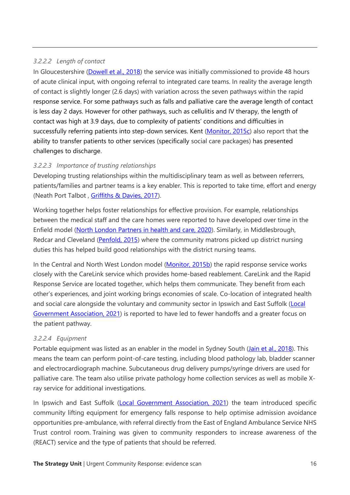## *3.2.2.2 Length of contact*

In Gloucestershire [\(Dowell et al., 2018\)](https://pubmed.ncbi.nlm.nih.gov/29323989/) the service was initially commissioned to provide 48 hours of acute clinical input, with ongoing referral to integrated care teams. In reality the average length of contact is slightly longer (2.6 days) with variation across the seven pathways within the rapid response service. For some pathways such as falls and palliative care the average length of contact is less day 2 days. However for other pathways, such as cellulitis and IV therapy, the length of contact was high at 3.9 days, due to complexity of patients' conditions and difficulties in successfully referring patients into step-down services. Kent [\(Monitor, 2015c\)](https://assets.publishing.service.gov.uk/government/uploads/system/uploads/attachment_data/file/459193/Kent_Community_Health.pdf) also report that the ability to transfer patients to other services (specifically social care packages) has presented challenges to discharge.

# *3.2.2.3 Importance of trusting relationships*

Developing trusting relationships within the multidisciplinary team as well as between referrers, patients/families and partner teams is a key enabler. This is reported to take time, effort and energy (Neath Port Talbot , [Griffiths & Davies, 2017\)](https://www.nursingtimes.net/roles/district-and-community-nurses/reducing-hospital-admissions-with-person-centred-intermediate-care-30-01-2017/).

Working together helps foster relationships for effective provision. For example, relationships between the medical staff and the care homes were reported to have developed over time in the Enfield model [\(North London Partners in health and care, 2020\)](https://www.northlondonpartners.org.uk/downloads/plans/Mental%20Health/Dementia%20care%20in%20NCL/report-dementia-supporting-older-peoples-mental-health-CHAT.pdf). Similarly, in Middlesbrough, Redcar and Cleveland [\(Penfold, 2015\)](https://journals.rcni.com/doi/abs/10.7748/phc.25.7.8.s9) where the community matrons picked up district nursing duties this has helped build good relationships with the district nursing teams.

In the Central and North West London model [\(Monitor, 2015b\)](https://assets.publishing.service.gov.uk/government/uploads/system/uploads/attachment_data/file/459191/CNWL.pdf) the rapid response service works closely with the CareLink service which provides home-based reablement. CareLink and the Rapid Response Service are located together, which helps them communicate. They benefit from each other's experiences, and joint working brings economies of scale. Co-location of integrated health and social care alongside the voluntary and community sector in Ipswich and East Suffolk (Local [Government Association, 2021\)](https://www.local.gov.uk/case-studies/reactive-emergency-assessment-community-team-creating-fully-integrated-admission) is reported to have led to fewer handoffs and a greater focus on the patient pathway.

# *3.2.2.4 Equipment*

Portable equipment was listed as an enabler in the model in Sydney South [\(Jain et al., 2018\)](https://pubmed.ncbi.nlm.nih.gov/29314516/). This means the team can perform point-of-care testing, including blood pathology lab, bladder scanner and electrocardiograph machine. Subcutaneous drug delivery pumps/syringe drivers are used for palliative care. The team also utilise private pathology home collection services as well as mobile Xray service for additional investigations.

In Ipswich and East Suffolk [\(Local Government Association, 2021\)](https://www.local.gov.uk/case-studies/reactive-emergency-assessment-community-team-creating-fully-integrated-admission) the team introduced specific community lifting equipment for emergency falls response to help optimise admission avoidance opportunities pre-ambulance, with referral directly from the East of England Ambulance Service NHS Trust control room. Training was given to community responders to increase awareness of the (REACT) service and the type of patients that should be referred.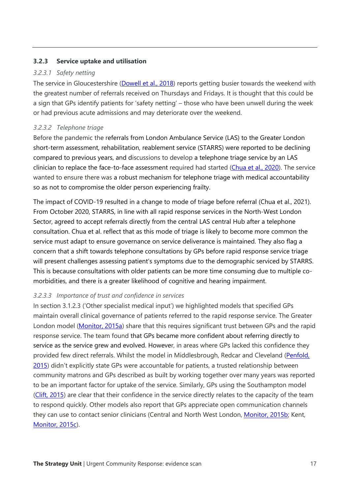### **3.2.3 Service uptake and utilisation**

### *3.2.3.1 Safety netting*

The service in Gloucestershire [\(Dowell et al., 2018\)](https://pubmed.ncbi.nlm.nih.gov/29323989/) reports getting busier towards the weekend with the greatest number of referrals received on Thursdays and Fridays. It is thought that this could be a sign that GPs identify patients for 'safety netting' – those who have been unwell during the week or had previous acute admissions and may deteriorate over the weekend.

### *3.2.3.2 Telephone triage*

Before the pandemic the referrals from London Ambulance Service (LAS) to the Greater London short-term assessment, rehabilitation, reablement service (STARRS) were reported to be declining compared to previous years, and discussions to develop a telephone triage service by an LAS clinician to replace the face-to-face assessment required had started [\(Chua et al., 2020\)](https://www.researchgate.net/publication/343106927_The_short-term_assessment_rehabilitation_reablement_service_starrs_a_rapid_response_team_to_support_the_frail_older_person_to_remain_at_home). The service wanted to ensure there was a robust mechanism for telephone triage with medical accountability so as not to compromise the older person experiencing frailty.

The impact of COVID-19 resulted in a change to mode of triage before referral [\(Chua et al., 2021\)](http://medcraveonline.com/MOJGG/MOJGG-06-00277.pdf). From October 2020, STARRS, in line with all rapid response services in the North-West London Sector, agreed to accept referrals directly from the central LAS central Hub after a telephone consultation. Chua et al. reflect that as this mode of triage is likely to become more common the service must adapt to ensure governance on service deliverance is maintained. They also flag a concern that a shift towards telephone consultations by GPs before rapid response service triage will present challenges assessing patient's symptoms due to the demographic serviced by STARRS. This is because consultations with older patients can be more time consuming due to multiple comorbidities, and there is a greater likelihood of cognitive and hearing impairment.

### *3.2.3.3 Importance of trust and confidence in services*

In section 3.1.2.3 ('Other specialist medical input') we highlighted models that specified GPs maintain overall clinical governance of patients referred to the rapid response service. The Greater London model [\(Monitor, 2015a\)](https://assets.publishing.service.gov.uk/government/uploads/system/uploads/attachment_data/file/458979/London_North_West_.pdf) share that this requires significant trust between GPs and the rapid response service. The team found that GPs became more confident about referring directly to service as the service grew and evolved. However, in areas where GPs lacked this confidence they provided few direct referrals. Whilst the model in Middlesbrough, Redcar and Cleveland (Penfold, [2015](https://journals.rcni.com/doi/abs/10.7748/phc.25.7.8.s9)) didn't explicitly state GPs were accountable for patients, a trusted relationship between community matrons and GPs described as built by working together over many years was reported to be an important factor for uptake of the service. Similarly, GPs using the Southampton model [\(Clift, 2015\)](https://www.researchgate.net/publication/284729292_How_a_rapid_response_team_is_supporting_people_to_remain_at_home) are clear that their confidence in the service directly relates to the capacity of the team to respond quickly. Other models also report that GPs appreciate open communication channels they can use to contact senior clinicians (Central and North West London, [Monitor, 2015b;](https://assets.publishing.service.gov.uk/government/uploads/system/uploads/attachment_data/file/459191/CNWL.pdf) Kent, [Monitor, 2015c\)](https://assets.publishing.service.gov.uk/government/uploads/system/uploads/attachment_data/file/459193/Kent_Community_Health.pdf).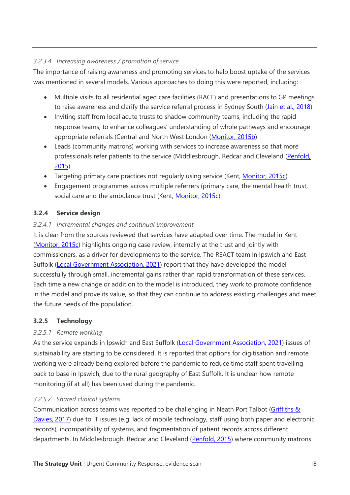# *3.2.3.4 Increasing awareness / promotion of service*

The importance of raising awareness and promoting services to help boost uptake of the services was mentioned in several models. Various approaches to doing this were reported, including:

- Multiple visits to all residential aged care facilities (RACF) and presentations to GP meetings to raise awareness and clarify the service referral process in Sydney South [\(Jain et al., 2018\)](https://pubmed.ncbi.nlm.nih.gov/29314516/)
- Inviting staff from local acute trusts to shadow community teams, including the rapid response teams, to enhance colleagues' understanding of whole pathways and encourage appropriate referrals (Central and North West London [\(Monitor, 2015b\)](https://assets.publishing.service.gov.uk/government/uploads/system/uploads/attachment_data/file/459191/CNWL.pdf)
- Leads (community matrons) working with services to increase awareness so that more professionals refer patients to the service (Middlesbrough, Redcar and Cleveland (Penfold, [2015\)](https://journals.rcni.com/doi/abs/10.7748/phc.25.7.8.s9)
- Targeting primary care practices not regularly using service (Kent, [Monitor, 2015c\)](https://assets.publishing.service.gov.uk/government/uploads/system/uploads/attachment_data/file/459193/Kent_Community_Health.pdf)
- Engagement programmes across multiple referrers (primary care, the mental health trust, social care and the ambulance trust (Kent, [Monitor, 2015c\)](https://assets.publishing.service.gov.uk/government/uploads/system/uploads/attachment_data/file/459193/Kent_Community_Health.pdf).

# **3.2.4 Service design**

# *3.2.4.1 Incremental changes and continual improvement*

It is clear from the sources reviewed that services have adapted over time. The model in Kent [\(Monitor, 2015c\)](https://assets.publishing.service.gov.uk/government/uploads/system/uploads/attachment_data/file/459193/Kent_Community_Health.pdf) highlights ongoing case review, internally at the trust and jointly with commissioners, as a driver for developments to the service. The REACT team in Ipswich and East Suffolk [\(Local Government Association, 2021\)](https://www.local.gov.uk/case-studies/reactive-emergency-assessment-community-team-creating-fully-integrated-admission) report that they have developed the model successfully through small, incremental gains rather than rapid transformation of these services. Each time a new change or addition to the model is introduced, they work to promote confidence in the model and prove its value, so that they can continue to address existing challenges and meet the future needs of the population.

# **3.2.5 Technology**

# *3.2.5.1 Remote working*

As the service expands in Ipswich and East Suffolk [\(Local Government Association, 2021\)](https://www.local.gov.uk/case-studies/reactive-emergency-assessment-community-team-creating-fully-integrated-admission) issues of sustainability are starting to be considered. It is reported that options for digitisation and remote working were already being explored before the pandemic to reduce time staff spent travelling back to base in Ipswich, due to the rural geography of East Suffolk. It is unclear how remote monitoring (if at all) has been used during the pandemic.

# *3.2.5.2 Shared clinical systems*

Communication across teams was reported to be challenging in Neath Port Talbot [\(Griffiths &](https://www.nursingtimes.net/roles/district-and-community-nurses/reducing-hospital-admissions-with-person-centred-intermediate-care-30-01-2017/)  [Davies, 2017\)](https://www.nursingtimes.net/roles/district-and-community-nurses/reducing-hospital-admissions-with-person-centred-intermediate-care-30-01-2017/) due to IT issues (e.g. lack of mobile technology, staff using both paper and electronic records), incompatibility of systems, and fragmentation of patient records across different departments. In Middlesbrough, Redcar and Cleveland [\(Penfold, 2015\)](https://journals.rcni.com/doi/abs/10.7748/phc.25.7.8.s9) where community matrons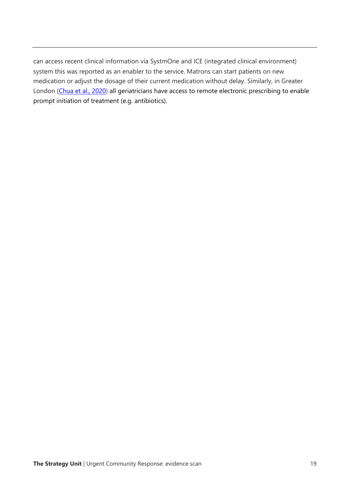can access recent clinical information via SystmOne and ICE (integrated clinical environment) system this was reported as an enabler to the service. Matrons can start patients on new medication or adjust the dosage of their current medication without delay. Similarly, in Greater London [\(Chua et al., 2020\)](https://www.researchgate.net/publication/343106927_The_short-term_assessment_rehabilitation_reablement_service_starrs_a_rapid_response_team_to_support_the_frail_older_person_to_remain_at_home) all geriatricians have access to remote electronic prescribing to enable prompt initiation of treatment (e.g. antibiotics).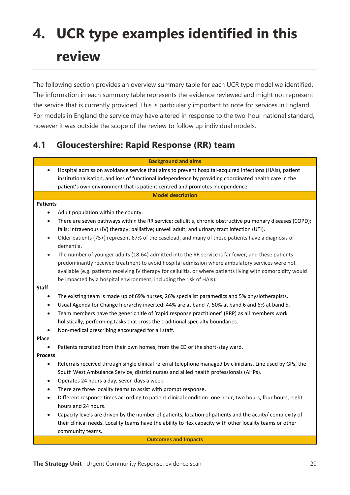# **4. UCR type examples identified in this review**

The following section provides an overview summary table for each UCR type model we identified. The information in each summary table represents the evidence reviewed and might not represent the service that is currently provided. This is particularly important to note for services in England. For models in England the service may have altered in response to the two-hour national standard, however it was outside the scope of the review to follow up individual models.

# **4.1 Gloucestershire: Rapid Response (RR) team**

|                 | <b>Background and aims</b>                                                                                      |
|-----------------|-----------------------------------------------------------------------------------------------------------------|
| $\bullet$       | Hospital admission avoidance service that aims to prevent hospital-acquired infections (HAIs), patient          |
|                 | institutionalisation, and loss of functional independence by providing coordinated health care in the           |
|                 | patient's own environment that is patient centred and promotes independence.                                    |
|                 | <b>Model description</b>                                                                                        |
| <b>Patients</b> |                                                                                                                 |
|                 | Adult population within the county.                                                                             |
| $\bullet$       | There are seven pathways within the RR service: cellulitis, chronic obstructive pulmonary diseases (COPD);      |
|                 | falls; intravenous (IV) therapy; palliative; unwell adult; and urinary tract infection (UTI).                   |
| $\bullet$       | Older patients (75+) represent 67% of the caseload, and many of these patients have a diagnosis of<br>dementia. |
| $\bullet$       | The number of younger adults (18-64) admitted into the RR service is far fewer, and these patients              |
|                 | predominantly received treatment to avoid hospital admission where ambulatory services were not                 |
|                 | available (e.g. patients receiving IV therapy for cellulitis, or where patients living with comorbidity would   |
|                 | be impacted by a hospital environment, including the risk of HAIs).                                             |
| Staff           |                                                                                                                 |
| $\bullet$       | The existing team is made up of 69% nurses, 26% specialist paramedics and 5% physiotherapists.                  |
| $\bullet$       | Usual Agenda for Change hierarchy inverted: 44% are at band 7, 50% at band 6 and 6% at band 5.                  |
| $\bullet$       | Team members have the generic title of 'rapid response practitioner' (RRP) as all members work                  |
|                 | holistically, performing tasks that cross the traditional specialty boundaries.                                 |
| $\bullet$       | Non-medical prescribing encouraged for all staff.                                                               |
| Place           |                                                                                                                 |
|                 | Patients recruited from their own homes, from the ED or the short-stay ward.                                    |
| <b>Process</b>  |                                                                                                                 |
| ٠               | Referrals received through single clinical referral telephone managed by clinicians. Line used by GPs, the      |
|                 | South West Ambulance Service, district nurses and allied health professionals (AHPs).                           |
| $\bullet$       | Operates 24 hours a day, seven days a week.                                                                     |
| $\bullet$       | There are three locality teams to assist with prompt response.                                                  |
| $\bullet$       | Different response times according to patient clinical condition: one hour, two hours, four hours, eight        |
|                 | hours and 24 hours.                                                                                             |
| $\bullet$       | Capacity levels are driven by the number of patients, location of patients and the acuity/ complexity of        |
|                 | their clinical needs. Locality teams have the ability to flex capacity with other locality teams or other       |
|                 | community teams.                                                                                                |

**Outcomes and Impacts**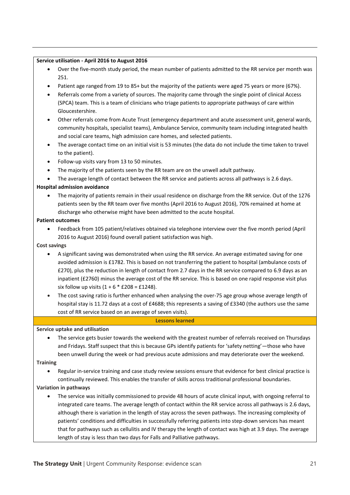#### **Service utilisation - April 2016 to August 2016**

- Over the five-month study period, the mean number of patients admitted to the RR service per month was 251.
- Patient age ranged from 19 to 85+ but the majority of the patients were aged 75 years or more (67%).
- Referrals come from a variety of sources. The majority came through the single point of clinical Access (SPCA) team. This is a team of clinicians who triage patients to appropriate pathways of care within Gloucestershire.
- Other referrals come from Acute Trust (emergency department and acute assessment unit, general wards, community hospitals, specialist teams), Ambulance Service, community team including integrated health and social care teams, high admission care homes, and selected patients.
- The average contact time on an initial visit is 53 minutes (the data do not include the time taken to travel to the patient).
- Follow-up visits vary from 13 to 50 minutes.
- The majority of the patients seen by the RR team are on the unwell adult pathway.
- The average length of contact between the RR service and patients across all pathways is 2.6 days.

#### **Hospital admission avoidance**

• The majority of patients remain in their usual residence on discharge from the RR service. Out of the 1276 patients seen by the RR team over five months (April 2016 to August 2016), 70% remained at home at discharge who otherwise might have been admitted to the acute hospital.

#### **Patient outcomes**

• Feedback from 105 patient/relatives obtained via telephone interview over the five month period (April 2016 to August 2016) found overall patient satisfaction was high.

#### **Cost savings**

- A significant saving was demonstrated when using the RR service. An average estimated saving for one avoided admission is £1782. This is based on not transferring the patient to hospital (ambulance costs of £270), plus the reduction in length of contact from 2.7 days in the RR service compared to 6.9 days as an inpatient (£2760) minus the average cost of the RR service. This is based on one rapid response visit plus six follow up visits  $(1 + 6 * £208 = £1248$ ).
- The cost saving ratio is further enhanced when analysing the over-75 age group whose average length of hospital stay is 11.72 days at a cost of £4688; this represents a saving of £3340 (the authors use the same cost of RR service based on an average of seven visits).

#### **Lessons learned**

#### **Service uptake and utilisation**

• The service gets busier towards the weekend with the greatest number of referrals received on Thursdays and Fridays. Staff suspect that this is because GPs identify patients for 'safety netting'—those who have been unwell during the week or had previous acute admissions and may deteriorate over the weekend.

#### **Training**

• Regular in-service training and case study review sessions ensure that evidence for best clinical practice is continually reviewed. This enables the transfer of skills across traditional professional boundaries.

#### **Variation in pathways**

• The service was initially commissioned to provide 48 hours of acute clinical input, with ongoing referral to integrated care teams. The average length of contact within the RR service across all pathways is 2.6 days, although there is variation in the length of stay across the seven pathways. The increasing complexity of patients' conditions and difficulties in successfully referring patients into step-down services has meant that for pathways such as cellulitis and IV therapy the length of contact was high at 3.9 days. The average length of stay is less than two days for Falls and Palliative pathways.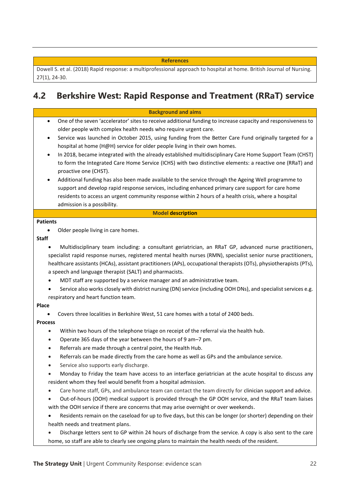#### **References**

Dowell S. et al. (2018) Rapid response: a multiprofessional approach to hospital at home. British Journal of Nursing. 27(1), 24-30.

# **4.2 Berkshire West: Rapid Response and Treatment (RRaT) service**

**Background and aims**

- One of the seven 'accelerator' sites to receive additional funding to increase capacity and responsiveness to older people with complex health needs who require urgent care.
- Service was launched in October 2015, using funding from the Better Care Fund originally targeted for a hospital at home (H@H) service for older people living in their own homes.
- In 2018, became integrated with the already established multidisciplinary Care Home Support Team (CHST) to form the Integrated Care Home Service (ICHS) with two distinctive elements: a reactive one (RRaT) and proactive one (CHST).
- Additional funding has also been made available to the service through the Ageing Well programme to support and develop rapid response services, including enhanced primary care support for care home residents to access an urgent community response within 2 hours of a health crisis, where a hospital admission is a possibility.

#### **Model description**

#### **Patients**

Older people living in care homes.

#### **Staff**

- Multidisciplinary team including: a consultant geriatrician, an RRaT GP, advanced nurse practitioners, specialist rapid response nurses, registered mental health nurses (RMN), specialist senior nurse practitioners, healthcare assistants (HCAs), assistant practitioners (APs), occupational therapists (OTs), physiotherapists (PTs), a speech and language therapist (SALT) and pharmacists.
- MDT staff are supported by a service manager and an administrative team.
- Service also works closely with district nursing (DN) service (including OOH DNs), and specialist services e.g. respiratory and heart function team.

#### **Place**

• Covers three localities in Berkshire West, 51 care homes with a total of 2400 beds.

#### **Process**

- Within two hours of the telephone triage on receipt of the referral via the health hub.
- Operate 365 days of the year between the hours of 9 am–7 pm.
- Referrals are made through a central point, the Health Hub.
- Referrals can be made directly from the care home as well as GPs and the ambulance service.
- Service also supports early discharge.
- Monday to Friday the team have access to an interface geriatrician at the acute hospital to discuss any resident whom they feel would benefit from a hospital admission.
- Care home staff, GPs, and ambulance team can contact the team directly for clinician support and advice.
- Out-of-hours (OOH) medical support is provided through the GP OOH service, and the RRaT team liaises with the OOH service if there are concerns that may arise overnight or over weekends.
- Residents remain on the caseload for up to five days, but this can be longer (or shorter) depending on their health needs and treatment plans.
- Discharge letters sent to GP within 24 hours of discharge from the service. A copy is also sent to the care home, so staff are able to clearly see ongoing plans to maintain the health needs of the resident.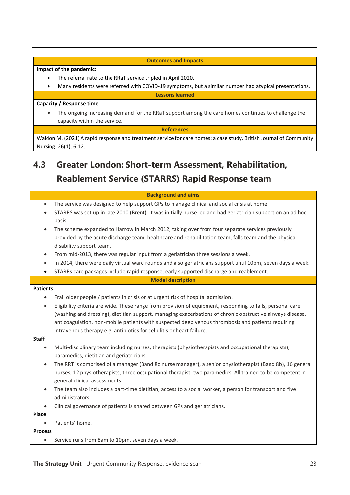#### **Outcomes and Impacts**

#### **Impact of the pandemic:**

- The referral rate to the RRaT service tripled in April 2020.
- Many residents were referred with COVID-19 symptoms, but a similar number had atypical presentations.

**Lessons learned**

#### **Capacity / Response time**

• The ongoing increasing demand for the RRaT support among the care homes continues to challenge the capacity within the service.

**References**

Waldon M. (2021) A rapid response and treatment service for care homes: a case study. British Journal of Community Nursing. 26(1), 6-12.

# **4.3 Greater London: Short-term Assessment, Rehabilitation, Reablement Service (STARRS) Rapid Response team**

#### **Background and aims**

- The service was designed to help support GPs to manage clinical and social crisis at home.
- STARRS was set up in late 2010 (Brent). It was initially nurse led and had geriatrician support on an ad hoc basis.
- The scheme expanded to Harrow in March 2012, taking over from four separate services previously provided by the acute discharge team, healthcare and rehabilitation team, falls team and the physical disability support team.
- From mid-2013, there was regular input from a geriatrician three sessions a week.
- In 2014, there were daily virtual ward rounds and also geriatricians support until 10pm, seven days a week.
- STARRs care packages include rapid response, early supported discharge and reablement.

#### **Model description**

#### **Patients**

- Frail older people / patients in crisis or at urgent risk of hospital admission.
- Eligibility criteria are wide. These range from provision of equipment, responding to falls, personal care (washing and dressing), dietitian support, managing exacerbations of chronic obstructive airways disease, anticoagulation, non-mobile patients with suspected deep venous thrombosis and patients requiring intravenous therapy e.g. antibiotics for cellulitis or heart failure.

#### **Staff**

- Multi-disciplinary team including nurses, therapists (physiotherapists and occupational therapists), paramedics, dietitian and geriatricians.
- The RRT is comprised of a manager (Band 8c nurse manager), a senior physiotherapist (Band 8b), 16 general nurses, 12 physiotherapists, three occupational therapist, two paramedics. All trained to be competent in general clinical assessments.
- The team also includes a part-time dietitian, access to a social worker, a person for transport and five administrators.
- Clinical governance of patients is shared between GPs and geriatricians.

**Place**

Patients' home.

**Process**

• Service runs from 8am to 10pm, seven days a week.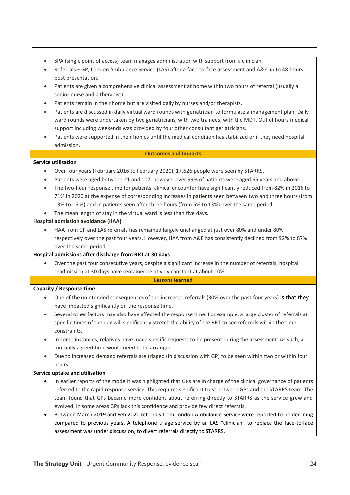- SPA (single point of access) team manages administration with support from a clinician.
- Referrals GP, London Ambulance Service (LAS) after a face-to-face assessment and A&E up to 48 hours post presentation.
- Patients are given a comprehensive clinical assessment at home within two hours of referral (usually a senior nurse and a therapist).
- Patients remain in their home but are visited daily by nurses and/or therapists.
- Patients are discussed in daily virtual ward rounds with geriatrician to formulate a management plan. Daily ward rounds were undertaken by two geriatricians, with two trainees, with the MDT. Out of hours medical support including weekends was provided by four other consultant geriatricians.
- Patients were supported in their homes until the medical condition has stabilized or if they need hospital admission.

#### **Outcomes and Impacts**

#### **Service utilisation**

- Over four years (February 2016 to February 2020), 17,626 people were seen by STARRS.
- Patients were aged between 21 and 107, however over 99% of patients were aged 65 years and above.
- The two-hour response time for patients' clinical encounter have significantly reduced from 82% in 2016 to 71% in 2020 at the expense of corresponding increases in patients seen between two and three hours (from 13% to 16 %) and in patients seen after three hours (from 5% to 13%) over the same period.
- The mean length of stay in the virtual ward is less than five days.

#### **Hospital admission avoidance (HAA)**

• HAA from GP and LAS referrals has remained largely unchanged at just over 80% and under 80% respectively over the past four years. However, HAA from A&E has consistently declined from 92% to 87% over the same period.

#### **Hospital admissions after discharge from RRT at 30 days**

• Over the past four consecutive years, despite a significant increase in the number of referrals, hospital readmission at 30 days have remained relatively constant at about 10%.

#### **Lessons learned**

#### **Capacity / Response time**

- One of the unintended consequences of the increased referrals (30% over the past four years) is that they have impacted significantly on the response time.
- Several other factors may also have affected the response time. For example, a large cluster of referrals at specific times of the day will significantly stretch the ability of the RRT to see referrals within the time constraints.
- In some instances, relatives have made specific requests to be present during the assessment. As such, a mutually agreed time would need to be arranged.
- Due to increased demand referrals are triaged (in discussion with GP) to be seen within two or within four hours.

#### **Service uptake and utilisation**

- In earlier reports of the mode it was highlighted that GPs are in charge of the clinical governance of patients referred to the rapid response service. This requires significant trust between GPs and the STARRS team. The team found that GPs became more confident about referring directly to STARRS as the service grew and evolved. In some areas GPs lack this confidence and provide few direct referrals.
- Between March 2019 and Feb 2020 referrals from London Ambulance Service were reported to be declining compared to previous years. A telephone triage service by an LAS "clinician" to replace the face-to-face assessment was under discussion, to divert referrals directly to STARRS.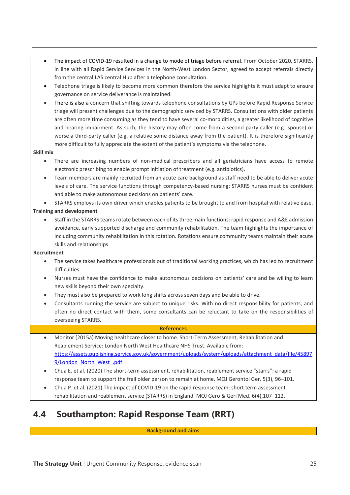- The impact of COVID-19 resulted in a change to mode of triage before referral. From October 2020, STARRS, in line with all Rapid Service Services in the North-West London Sector, agreed to accept referrals directly from the central LAS central Hub after a telephone consultation.
- Telephone triage is likely to become more common therefore the service highlights it must adapt to ensure governance on service deliverance is maintained.
- There is also a concern that shifting towards telephone consultations by GPs before Rapid Response Service triage will present challenges due to the demographic serviced by STARRS. Consultations with older patients are often more time consuming as they tend to have several co-morbidities, a greater likelihood of cognitive and hearing impairment. As such, the history may often come from a second party caller (e.g. spouse) or worse a third-party caller (e.g. a relative some distance away from the patient). It is therefore significantly more difficult to fully appreciate the extent of the patient's symptoms via the telephone.

#### **Skill mix**

- There are increasing numbers of non-medical prescribers and all geriatricians have access to remote electronic prescribing to enable prompt initiation of treatment (e.g. antibiotics).
- Team members are mainly recruited from an acute care background as staff need to be able to deliver acute levels of care. The service functions through competency-based nursing; STARRS nurses must be confident and able to make autonomous decisions on patients' care.

• STARRS employs its own driver which enables patients to be brought to and from hospital with relative ease.

#### **Training and development**

• Staff in the STARRS teams rotate between each of its three main functions: rapid response and A&E admission avoidance, early supported discharge and community rehabilitation. The team highlights the importance of including community rehabilitation in this rotation. Rotations ensure community teams maintain their acute skills and relationships.

#### **Recruitment**

- The service takes healthcare professionals out of traditional working practices, which has led to recruitment difficulties.
- Nurses must have the confidence to make autonomous decisions on patients' care and be willing to learn new skills beyond their own specialty.
- They must also be prepared to work long shifts across seven days and be able to drive.
- Consultants running the service are subject to unique risks. With no direct responsibility for patients, and often no direct contact with them, some consultants can be reluctant to take on the responsibilities of overseeing STARRS.

#### **References**

- Monitor (2015a) Moving healthcare closer to home. Short-Term Assessment, Rehabilitation and Reablement Service: London North West Healthcare NHS Trust. Available from: [https://assets.publishing.service.gov.uk/government/uploads/system/uploads/attachment\\_data/file/45897](https://assets.publishing.service.gov.uk/government/uploads/system/uploads/attachment_data/file/458979/London_North_West_.pdf) [9/London\\_North\\_West\\_.pdf](https://assets.publishing.service.gov.uk/government/uploads/system/uploads/attachment_data/file/458979/London_North_West_.pdf)
- Chua E. et al. (2020) The short-term assessment, rehabilitation, reablement service "starrs": a rapid response team to support the frail older person to remain at home. MOJ Gerontol Ger. 5(3), 96-101.
- Chua P. et al. (2021) The impact of COVID-19 on the rapid response team: short term assessment rehabilitation and reablement service (STARRS) in England. MOJ Gero & Geri Med. 6(4),107-112.

# **4.4 Southampton: Rapid Response Team (RRT)**

**Background and aims**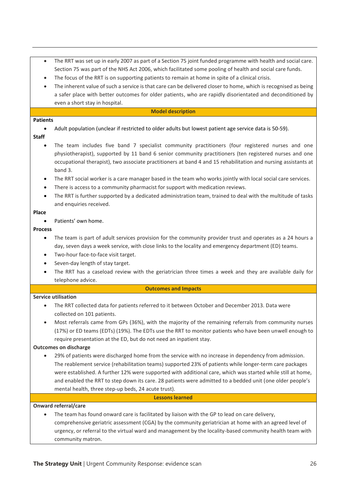- The RRT was set up in early 2007 as part of a Section 75 joint funded programme with health and social care. Section 75 was part of the NHS Act 2006, which facilitated some pooling of health and social care funds.
- The focus of the RRT is on supporting patients to remain at home in spite of a clinical crisis.
- The inherent value of such a service is that care can be delivered closer to home, which is recognised as being a safer place with better outcomes for older patients, who are rapidly disorientated and deconditioned by even a short stay in hospital.

#### **Model description**

#### **Patients**

• Adult population (unclear if restricted to older adults but lowest patient age service data is 50-59).

#### **Staff**

- The team includes five band 7 specialist community practitioners (four registered nurses and one physiotherapist), supported by 11 band 6 senior community practitioners (ten registered nurses and one occupational therapist), two associate practitioners at band 4 and 15 rehabilitation and nursing assistants at band 3.
- The RRT social worker is a care manager based in the team who works jointly with local social care services.
- There is access to a community pharmacist for support with medication reviews.
- The RRT is further supported by a dedicated administration team, trained to deal with the multitude of tasks and enquiries received.

#### **Place**

Patients' own home.

#### **Process**

- The team is part of adult services provision for the community provider trust and operates as a 24 hours a day, seven days a week service, with close links to the locality and emergency department (ED) teams.
- Two-hour face-to-face visit target.
- Seven-day length of stay target.
- The RRT has a caseload review with the geriatrician three times a week and they are available daily for telephone advice.

#### **Outcomes and Impacts**

#### **Service utilisation**

- The RRT collected data for patients referred to it between October and December 2013. Data were collected on 101 patients.
- Most referrals came from GPs (36%), with the majority of the remaining referrals from community nurses (17%) or ED teams (EDTs) (19%). The EDTs use the RRT to monitor patients who have been unwell enough to require presentation at the ED, but do not need an inpatient stay.

#### **Outcomes on discharge**

• 29% of patients were discharged home from the service with no increase in dependency from admission. The reablement service (rehabilitation teams) supported 23% of patients while longer-term care packages were established. A further 12% were supported with additional care, which was started while still at home, and enabled the RRT to step down its care. 28 patients were admitted to a bedded unit (one older people's mental health, three step-up beds, 24 acute trust).

#### **Lessons learned**

#### **Onward referral/care**

The team has found onward care is facilitated by liaison with the GP to lead on care delivery, comprehensive geriatric assessment (CGA) by the community geriatrician at home with an agreed level of urgency, or referral to the virtual ward and management by the locality-based community health team with community matron.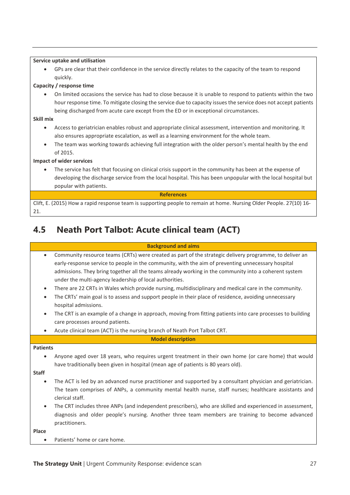#### **Service uptake and utilisation**

• GPs are clear that their confidence in the service directly relates to the capacity of the team to respond quickly.

#### **Capacity / response time**

• On limited occasions the service has had to close because it is unable to respond to patients within the two hour response time. To mitigate closing the service due to capacity issues the service does not accept patients being discharged from acute care except from the ED or in exceptional circumstances.

#### **Skill mix**

- Access to geriatrician enables robust and appropriate clinical assessment, intervention and monitoring. It also ensures appropriate escalation, as well as a learning environment for the whole team.
- The team was working towards achieving full integration with the older person's mental health by the end of 2015.

#### **Impact of wider services**

The service has felt that focusing on clinical crisis support in the community has been at the expense of developing the discharge service from the local hospital. This has been unpopular with the local hospital but popular with patients.

#### **References**

Clift, E. (2015) How a rapid response team is supporting people to remain at home. Nursing Older People. 27(10) 16- 21.

# **4.5 Neath Port Talbot: Acute clinical team (ACT)**

#### **Background and aims**

| $\bullet$ | Community resource teams (CRTs) were created as part of the strategic delivery programme, to deliver an |
|-----------|---------------------------------------------------------------------------------------------------------|
|           | early-response service to people in the community, with the aim of preventing unnecessary hospital      |
|           | admissions. They bring together all the teams already working in the community into a coherent system   |
|           | under the multi-agency leadership of local authorities.                                                 |

- There are 22 CRTs in Wales which provide nursing, multidisciplinary and medical care in the community.
- The CRTs' main goal is to assess and support people in their place of residence, avoiding unnecessary hospital admissions.
- The CRT is an example of a change in approach, moving from fitting patients into care processes to building care processes around patients.
- Acute clinical team (ACT) is the nursing branch of Neath Port Talbot CRT.

**Model description**

#### **Patients**

• Anyone aged over 18 years, who requires urgent treatment in their own home (or care home) that would have traditionally been given in hospital (mean age of patients is 80 years old).

**Staff**

- The ACT is led by an advanced nurse practitioner and supported by a consultant physician and geriatrician. The team comprises of ANPs, a community mental health nurse, staff nurses; healthcare assistants and clerical staff.
- The CRT includes three ANPs (and independent prescribers), who are skilled and experienced in assessment, diagnosis and older people's nursing. Another three team members are training to become advanced practitioners.

**Place**

• Patients' home or care home.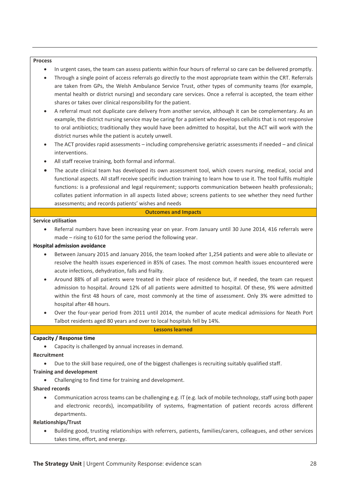#### **Process**

- In urgent cases, the team can assess patients within four hours of referral so care can be delivered promptly.
- Through a single point of access referrals go directly to the most appropriate team within the CRT. Referrals are taken from GPs, the Welsh Ambulance Service Trust, other types of community teams (for example, mental health or district nursing) and secondary care services. Once a referral is accepted, the team either shares or takes over clinical responsibility for the patient.
- A referral must not duplicate care delivery from another service, although it can be complementary. As an example, the district nursing service may be caring for a patient who develops cellulitis that is not responsive to oral antibiotics; traditionally they would have been admitted to hospital, but the ACT will work with the district nurses while the patient is acutely unwell.
- The ACT provides rapid assessments including comprehensive geriatric assessments if needed and clinical interventions.
- All staff receive training, both formal and informal.
- The acute clinical team has developed its own assessment tool, which covers nursing, medical, social and functional aspects. All staff receive specific induction training to learn how to use it. The tool fulfils multiple functions: is a professional and legal requirement; supports communication between health professionals; collates patient information in all aspects listed above; screens patients to see whether they need further assessments; and records patients' wishes and needs

#### **Outcomes and Impacts**

#### **Service utilisation**

• Referral numbers have been increasing year on year. From January until 30 June 2014, 416 referrals were made – rising to 610 for the same period the following year.

#### **Hospital admission avoidance**

- Between January 2015 and January 2016, the team looked after 1,254 patients and were able to alleviate or resolve the health issues experienced in 85% of cases. The most common health issues encountered were acute infections, dehydration, falls and frailty.
- Around 88% of all patients were treated in their place of residence but, if needed, the team can request admission to hospital. Around 12% of all patients were admitted to hospital. Of these, 9% were admitted within the first 48 hours of care, most commonly at the time of assessment. Only 3% were admitted to hospital after 48 hours.
- Over the four-year period from 2011 until 2014, the number of acute medical admissions for Neath Port Talbot residents aged 80 years and over to local hospitals fell by 14%.

#### **Lessons learned**

#### **Capacity / Response time**

• Capacity is challenged by annual increases in demand.

#### **Recruitment**

• Due to the skill base required, one of the biggest challenges is recruiting suitably qualified staff.

#### **Training and development**

• Challenging to find time for training and development.

#### **Shared records**

• Communication across teams can be challenging e.g. IT (e.g. lack of mobile technology, staff using both paper and electronic records), incompatibility of systems, fragmentation of patient records across different departments.

#### **Relationships/Trust**

• Building good, trusting relationships with referrers, patients, families/carers, colleagues, and other services takes time, effort, and energy.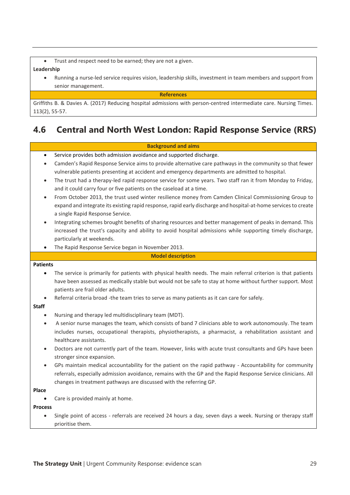Trust and respect need to be earned; they are not a given.

#### **Leadership**

• Running a nurse-led service requires vision, leadership skills, investment in team members and support from senior management.

**References**

Griffiths B. & Davies A. (2017) Reducing hospital admissions with person-centred intermediate care. Nursing Times. 113(2), 55-57.

# **4.6 Central and North West London: Rapid Response Service (RRS)**

#### **Background and aims**

- Service provides both admission avoidance and supported discharge.
- Camden's Rapid Response Service aims to provide alternative care pathways in the community so that fewer vulnerable patients presenting at accident and emergency departments are admitted to hospital.
- The trust had a therapy-led rapid response service for some years. Two staff ran it from Monday to Friday, and it could carry four or five patients on the caseload at a time.
- From October 2013, the trust used winter resilience money from Camden Clinical Commissioning Group to expand and integrate its existing rapid response, rapid early discharge and hospital-at-home services to create a single Rapid Response Service.
- Integrating schemes brought benefits of sharing resources and better management of peaks in demand. This increased the trust's capacity and ability to avoid hospital admissions while supporting timely discharge, particularly at weekends.
- The Rapid Response Service began in November 2013.

#### **Model description**

#### **Patients**

- The service is primarily for patients with physical health needs. The main referral criterion is that patients have been assessed as medically stable but would not be safe to stay at home without further support. Most patients are frail older adults.
- Referral criteria broad -the team tries to serve as many patients as it can care for safely.

### **Staff**

- Nursing and therapy led multidisciplinary team (MDT).
- A senior nurse manages the team, which consists of band 7 clinicians able to work autonomously. The team includes nurses, occupational therapists, physiotherapists, a pharmacist, a rehabilitation assistant and healthcare assistants.
- Doctors are not currently part of the team. However, links with acute trust consultants and GPs have been stronger since expansion.
- GPs maintain medical accountability for the patient on the rapid pathway Accountability for community referrals, especially admission avoidance, remains with the GP and the Rapid Response Service clinicians. All changes in treatment pathways are discussed with the referring GP.

#### **Place**

Care is provided mainly at home.

#### **Process**

• Single point of access - referrals are received 24 hours a day, seven days a week. Nursing or therapy staff prioritise them.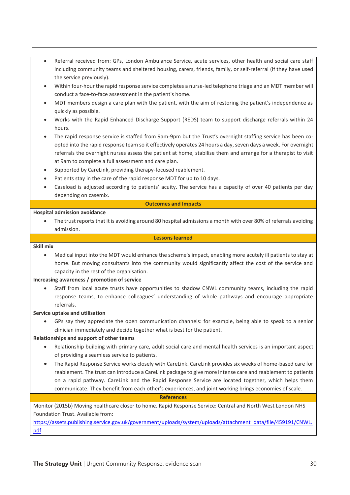- Referral received from: GPs, London Ambulance Service, acute services, other health and social care staff including community teams and sheltered housing, carers, friends, family, or self-referral (if they have used the service previously).
- Within four-hour the rapid response service completes a nurse-led telephone triage and an MDT member will conduct a face-to-face assessment in the patient's home.
- MDT members design a care plan with the patient, with the aim of restoring the patient's independence as quickly as possible.
- Works with the Rapid Enhanced Discharge Support (REDS) team to support discharge referrals within 24 hours.
- The rapid response service is staffed from 9am-9pm but the Trust's overnight staffing service has been coopted into the rapid response team so it effectively operates 24 hours a day, seven days a week. For overnight referrals the overnight nurses assess the patient at home, stabilise them and arrange for a therapist to visit at 9am to complete a full assessment and care plan.
- Supported by CareLink, providing therapy-focused reablement.
- Patients stay in the care of the rapid response MDT for up to 10 days.
- Caseload is adjusted according to patients' acuity. The service has a capacity of over 40 patients per day depending on casemix.

#### **Outcomes and Impacts**

#### **Hospital admission avoidance**

• The trust reports that it is avoiding around 80 hospital admissions a month with over 80% of referrals avoiding admission.

#### **Lessons learned**

#### **Skill mix**

• Medical input into the MDT would enhance the scheme's impact, enabling more acutely ill patients to stay at home. But moving consultants into the community would significantly affect the cost of the service and capacity in the rest of the organisation.

#### **Increasing awareness / promotion of service**

• Staff from local acute trusts have opportunities to shadow CNWL community teams, including the rapid response teams, to enhance colleagues' understanding of whole pathways and encourage appropriate referrals.

#### **Service uptake and utilisation**

• GPs say they appreciate the open communication channels: for example, being able to speak to a senior clinician immediately and decide together what is best for the patient.

#### **Relationships and support of other teams**

- Relationship building with primary care, adult social care and mental health services is an important aspect of providing a seamless service to patients.
- The Rapid Response Service works closely with CareLink. CareLink provides six weeks of home-based care for reablement. The trust can introduce a CareLink package to give more intense care and reablement to patients on a rapid pathway. CareLink and the Rapid Response Service are located together, which helps them communicate. They benefit from each other's experiences, and joint working brings economies of scale.

#### **References**

Monitor (2015b) Moving healthcare closer to home. Rapid Response Service: Central and North West London NHS Foundation Trust. Available from:

[https://assets.publishing.service.gov.uk/government/uploads/system/uploads/attachment\\_data/file/459191/CNWL.](https://assets.publishing.service.gov.uk/government/uploads/system/uploads/attachment_data/file/459191/CNWL.pdf) [pdf](https://assets.publishing.service.gov.uk/government/uploads/system/uploads/attachment_data/file/459191/CNWL.pdf)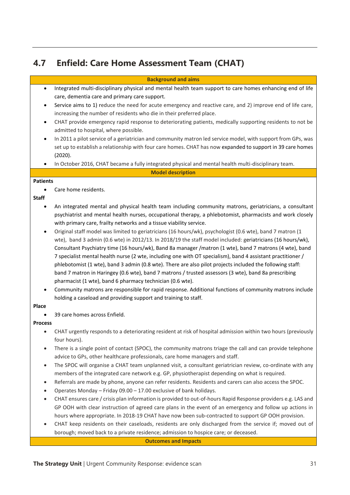# **4.7 Enfield: Care Home Assessment Team (CHAT)**

| <b>Background and aims</b> |  |
|----------------------------|--|
|                            |  |

- Integrated multi-disciplinary physical and mental health team support to care homes enhancing end of life care, dementia care and primary care support.
- Service aims to 1) reduce the need for acute emergency and reactive care, and 2) improve end of life care, increasing the number of residents who die in their preferred place.
- CHAT provide emergency rapid response to deteriorating patients, medically supporting residents to not be admitted to hospital, where possible.
- In 2011 a pilot service of a geriatrician and community matron led service model, with support from GPs, was set up to establish a relationship with four care homes. CHAT has now expanded to support in 39 care homes (2020).
- In October 2016, CHAT became a fully integrated physical and mental health multi-disciplinary team.

**Model description**

#### **Patients**

• Care home residents.

#### **Staff**

- An integrated mental and physical health team including community matrons, geriatricians, a consultant psychiatrist and mental health nurses, occupational therapy, a phlebotomist, pharmacists and work closely with primary care, frailty networks and a tissue viability service.
- Original staff model was limited to geriatricians (16 hours/wk), psychologist (0.6 wte), band 7 matron (1 wte), band 3 admin (0.6 wte) in 2012/13. In 2018/19 the staff model included: geriatricians (16 hours/wk), Consultant Psychiatry time (16 hours/wk), Band 8a manager /matron (1 wte), band 7 matrons (4 wte), band 7 specialist mental health nurse (2 wte, including one with OT specialism), band 4 assistant practitioner / phlebotomist (1 wte), band 3 admin (0.8 wte). There are also pilot projects included the following staff: band 7 matron in Haringey (0.6 wte), band 7 matrons / trusted assessors (3 wte), band 8a prescribing pharmacist (1 wte), band 6 pharmacy technician (0.6 wte).
- Community matrons are responsible for rapid response. Additional functions of community matrons include holding a caseload and providing support and training to staff.

#### **Place**

• 39 care homes across Enfield.

#### **Process**

- CHAT urgently responds to a deteriorating resident at risk of hospital admission within two hours (previously four hours).
- There is a single point of contact (SPOC), the community matrons triage the call and can provide telephone advice to GPs, other healthcare professionals, care home managers and staff.
- The SPOC will organise a CHAT team unplanned visit, a consultant geriatrician review, co-ordinate with any members of the integrated care network e.g. GP, physiotherapist depending on what is required.
- Referrals are made by phone, anyone can refer residents. Residents and carers can also access the SPOC.
- Operates Monday Friday 09.00 17.00 exclusive of bank holidays.
- CHAT ensures care / crisis plan information is provided to out-of-hours Rapid Response providers e.g. LAS and GP OOH with clear instruction of agreed care plans in the event of an emergency and follow up actions in hours where appropriate. In 2018-19 CHAT have now been sub-contracted to support GP OOH provision.
- CHAT keep residents on their caseloads, residents are only discharged from the service if; moved out of borough; moved back to a private residence; admission to hospice care; or deceased.

#### **Outcomes and Impacts**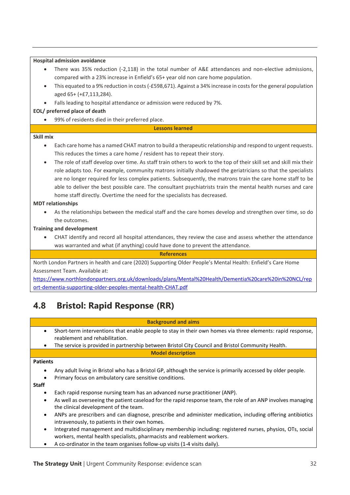| <b>Hospital admission avoidance</b>                                                                                               |  |  |
|-----------------------------------------------------------------------------------------------------------------------------------|--|--|
| There was 35% reduction (-2,118) in the total number of A&E attendances and non-elective admissions,                              |  |  |
| compared with a 23% increase in Enfield's 65+ year old non care home population.                                                  |  |  |
| This equated to a 9% reduction in costs (-£598,671). Against a 34% increase in costs for the general population<br>$\bullet$      |  |  |
| aged 65+ (+£7,113,284).                                                                                                           |  |  |
| Falls leading to hospital attendance or admission were reduced by 7%.                                                             |  |  |
| EOL/ preferred place of death                                                                                                     |  |  |
| 99% of residents died in their preferred place.                                                                                   |  |  |
| <b>Lessons learned</b>                                                                                                            |  |  |
| Skill mix                                                                                                                         |  |  |
| Each care home has a named CHAT matron to build a therapeutic relationship and respond to urgent requests.<br>$\bullet$           |  |  |
| This reduces the times a care home / resident has to repeat their story.                                                          |  |  |
| The role of staff develop over time. As staff train others to work to the top of their skill set and skill mix their<br>$\bullet$ |  |  |
| role adapts too. For example, community matrons initially shadowed the geriatricians so that the specialists                      |  |  |
| are no longer required for less complex patients. Subsequently, the matrons train the care home staff to be                       |  |  |
| able to deliver the best possible care. The consultant psychiatrists train the mental health nurses and care                      |  |  |
| home staff directly. Overtime the need for the specialists has decreased.                                                         |  |  |
| <b>MDT</b> relationships                                                                                                          |  |  |
| As the relationships between the medical staff and the care homes develop and strengthen over time, so do                         |  |  |
| the outcomes.                                                                                                                     |  |  |
| <b>Training and development</b>                                                                                                   |  |  |
| CHAT identify and record all hospital attendances, they review the case and assess whether the attendance<br>$\bullet$            |  |  |
| was warranted and what (if anything) could have done to prevent the attendance.                                                   |  |  |
| <b>References</b>                                                                                                                 |  |  |
| North London Partners in health and care (2020) Supporting Older People's Mental Health: Enfield's Care Home                      |  |  |
| Assessment Team. Available at:                                                                                                    |  |  |
|                                                                                                                                   |  |  |

[https://www.northlondonpartners.org.uk/downloads/plans/Mental%20Health/Dementia%20care%20in%20NCL/rep](https://www.northlondonpartners.org.uk/downloads/plans/Mental%20Health/Dementia%20care%20in%20NCL/report-dementia-supporting-older-peoples-mental-health-CHAT.pdf) [ort-dementia-supporting-older-peoples-mental-health-CHAT.pdf](https://www.northlondonpartners.org.uk/downloads/plans/Mental%20Health/Dementia%20care%20in%20NCL/report-dementia-supporting-older-peoples-mental-health-CHAT.pdf)

# **4.8 Bristol: Rapid Response (RR)**

## **Background and aims**

- Short-term interventions that enable people to stay in their own homes via three elements: rapid response, reablement and rehabilitation.
- The service is provided in partnership between Bristol City Council and Bristol Community Health.

### **Model description**

### **Patients**

- Any adult living in Bristol who has a Bristol GP, although the service is primarily accessed by older people.
- Primary focus on ambulatory care sensitive conditions.

## **Staff**

- Each rapid response nursing team has an advanced nurse practitioner (ANP).
- As well as overseeing the patient caseload for the rapid response team, the role of an ANP involves managing the clinical development of the team.
- ANPs are prescribers and can diagnose, prescribe and administer medication, including offering antibiotics intravenously, to patients in their own homes.
- Integrated management and multidisciplinary membership including: registered nurses, physios, OTs, social workers, mental health specialists, pharmacists and reablement workers.
- A co-ordinator in the team organises follow-up visits (1-4 visits daily).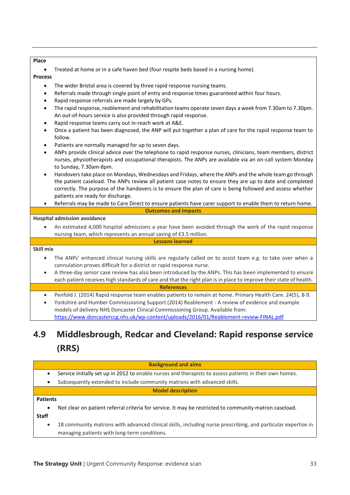#### **Place**

• Treated at home or in a safe haven bed (four respite beds based in a nursing home).

#### **Process**

- The wider Bristol area is covered by three rapid response nursing teams.
- Referrals made through single point of entry and response times guaranteed within four hours.
- Rapid response referrals are made largely by GPs.
- The rapid response, reablement and rehabilitation teams operate seven days a week from 7.30am to 7.30pm. An out-of-hours service is also provided through rapid response.
- Rapid response teams carry out in-reach work at A&E.
- Once a patient has been diagnosed, the ANP will put together a plan of care for the rapid response team to follow.
- Patients are normally managed for up to seven days.
- ANPs provide clinical advice over the telephone to rapid response nurses, clinicians, team members, district nurses, physiotherapists and occupational therapists. The ANPs are available via an on-call system Monday to Sunday, 7.30am-8pm.
- Handovers take place on Mondays, Wednesdays and Fridays, where the ANPs and the whole team go through the patient caseload. The ANPs review all patient case notes to ensure they are up to date and completed correctly. The purpose of the handovers is to ensure the plan of care is being followed and assess whether patients are ready for discharge.
- Referrals may be made to Care Direct to ensure patients have carer support to enable them to return home. **Outcomes and Impacts**

#### **Hospital admission avoidance**

**Skill mix**

• An estimated 4,000 hospital admissions a year have been avoided through the work of the rapid response nursing team, which represents an annual saving of £3.5 million. **Lessons learned**

- The ANPs' enhanced clinical nursing skills are regularly called on to assist team e.g. to take over when a cannulation proves difficult for a district or rapid response nurse.
- A three-day senior case review has also been introduced by the ANPs. This has been implemented to ensure each patient receives high standards of care and that the right plan is in place to improve their state of health.

#### **References**

- Penfold J. (2014) Rapid response team enables patients to remain at home. Primary Health Care. 24(5), 8-9.
- Yorkshire and Humber Commissioning Support (2014) Reablement A review of evidence and example models of delivery NHS Doncaster Clinical Commissioning Group. Available from: <https://www.doncasterccg.nhs.uk/wp-content/uploads/2016/01/Reablement-review-FINAL.pdf>

# **4.9 Middlesbrough, Redcar and Cleveland: Rapid response service (RRS)**

#### **Background and aims**

- Service initially set up in 2012 to enable nurses and therapists to assess patients in their own homes.
- Subsequently extended to include community matrons with advanced skills.

#### **Model description**

#### **Patients**

- Not clear on patient referral criteria for service. It may be restricted to community matron caseload. **Staff**
	- 18 community matrons with advanced clinical skills, including nurse prescribing, and particular expertise in managing patients with long-term conditions.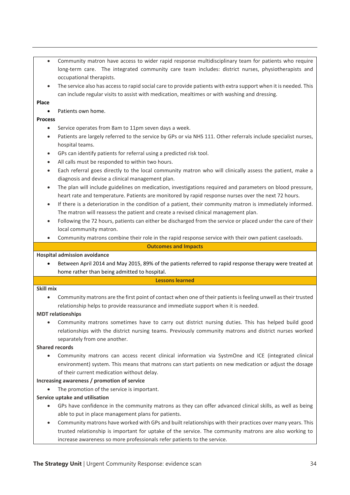- Community matron have access to wider rapid response multidisciplinary team for patients who require long-term care. The integrated community care team includes: district nurses, physiotherapists and occupational therapists.
- The service also has access to rapid social care to provide patients with extra support when it is needed. This can include regular visits to assist with medication, mealtimes or with washing and dressing.

#### **Place**

#### • Patients own home.

#### **Process**

- Service operates from 8am to 11pm seven days a week.
- Patients are largely referred to the service by GPs or via NHS 111. Other referrals include specialist nurses, hospital teams.
- GPs can identify patients for referral using a predicted risk tool.
- All calls must be responded to within two hours.
- Each referral goes directly to the local community matron who will clinically assess the patient, make a diagnosis and devise a clinical management plan.
- The plan will include guidelines on medication, investigations required and parameters on blood pressure, heart rate and temperature. Patients are monitored by rapid response nurses over the next 72 hours.
- If there is a deterioration in the condition of a patient, their community matron is immediately informed. The matron will reassess the patient and create a revised clinical management plan.
- Following the 72 hours, patients can either be discharged from the service or placed under the care of their local community matron.
- Community matrons combine their role in the rapid response service with their own patient caseloads.

#### **Outcomes and Impacts**

#### **Hospital admission avoidance**

• Between April 2014 and May 2015, 89% of the patients referred to rapid response therapy were treated at home rather than being admitted to hospital.

#### **Lessons learned**

#### **Skill mix**

• Community matrons are the first point of contact when one of their patients is feeling unwell as their trusted relationship helps to provide reassurance and immediate support when it is needed.

#### **MDT relationships**

• Community matrons sometimes have to carry out district nursing duties. This has helped build good relationships with the district nursing teams. Previously community matrons and district nurses worked separately from one another.

#### **Shared records**

• Community matrons can access recent clinical information via SystmOne and ICE (integrated clinical environment) system. This means that matrons can start patients on new medication or adjust the dosage of their current medication without delay.

#### **Increasing awareness / promotion of service**

• The promotion of the service is important.

#### **Service uptake and utilisation**

- GPs have confidence in the community matrons as they can offer advanced clinical skills, as well as being able to put in place management plans for patients.
- Community matrons have worked with GPs and built relationships with their practices over many years. This trusted relationship is important for uptake of the service. The community matrons are also working to increase awareness so more professionals refer patients to the service.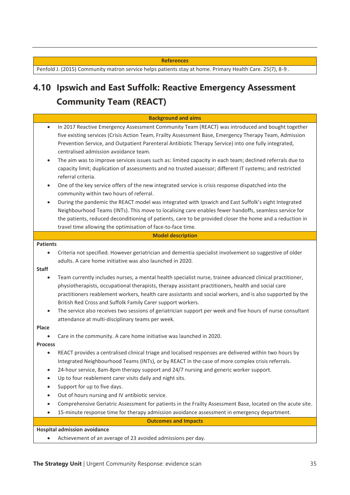#### **References**

Penfold J. (2015) Community matron service helps patients stay at home. Primary Health Care. 25(7), 8-9.

# **4.10 Ipswich and East Suffolk: Reactive Emergency Assessment Community Team (REACT)**

|                                                       | <b>Background and aims</b>                                                                                                                                                                                                                                                                                                                                                                                                                                                                                                                                    |
|-------------------------------------------------------|---------------------------------------------------------------------------------------------------------------------------------------------------------------------------------------------------------------------------------------------------------------------------------------------------------------------------------------------------------------------------------------------------------------------------------------------------------------------------------------------------------------------------------------------------------------|
| $\bullet$                                             | In 2017 Reactive Emergency Assessment Community Team (REACT) was introduced and bought together<br>five existing services (Crisis Action Team, Frailty Assessment Base, Emergency Therapy Team, Admission<br>Prevention Service, and Outpatient Parenteral Antibiotic Therapy Service) into one fully integrated,<br>centralised admission avoidance team.                                                                                                                                                                                                    |
| $\bullet$                                             | The aim was to improve services issues such as: limited capacity in each team; declined referrals due to<br>capacity limit; duplication of assessments and no trusted assessor; different IT systems; and restricted<br>referral criteria.                                                                                                                                                                                                                                                                                                                    |
| $\bullet$                                             | One of the key service offers of the new integrated service is crisis response dispatched into the<br>community within two hours of referral.                                                                                                                                                                                                                                                                                                                                                                                                                 |
| $\bullet$                                             | During the pandemic the REACT model was integrated with Ipswich and East Suffolk's eight Integrated<br>Neighbourhood Teams (INTs). This move to localising care enables fewer handoffs, seamless service for<br>the patients, reduced deconditioning of patients, care to be provided closer the home and a reduction in<br>travel time allowing the optimisation of face-to-face time.                                                                                                                                                                       |
|                                                       | <b>Model description</b>                                                                                                                                                                                                                                                                                                                                                                                                                                                                                                                                      |
| <b>Patients</b>                                       |                                                                                                                                                                                                                                                                                                                                                                                                                                                                                                                                                               |
| $\bullet$                                             | Criteria not specified. However geriatrician and dementia specialist involvement so suggestive of older<br>adults. A care home initiative was also launched in 2020.                                                                                                                                                                                                                                                                                                                                                                                          |
| <b>Staff</b><br>$\bullet$<br>$\bullet$                | Team currently includes nurses, a mental health specialist nurse, trainee advanced clinical practitioner,<br>physiotherapists, occupational therapists, therapy assistant practitioners, health and social care<br>practitioners reablement workers, health care assistants and social workers, and is also supported by the<br>British Red Cross and Suffolk Family Carer support workers.<br>The service also receives two sessions of geriatrician support per week and five hours of nurse consultant<br>attendance at multi-disciplinary teams per week. |
| Place                                                 |                                                                                                                                                                                                                                                                                                                                                                                                                                                                                                                                                               |
|                                                       | Care in the community. A care home initiative was launched in 2020.                                                                                                                                                                                                                                                                                                                                                                                                                                                                                           |
| <b>Process</b><br>$\bullet$<br>$\bullet$<br>$\bullet$ | REACT provides a centralised clinical triage and localised responses are delivered within two hours by<br>Integrated Neighbourhood Teams (INTs), or by REACT in the case of more complex crisis referrals.<br>24-hour service, 8am-8pm therapy support and 24/7 nursing and generic worker support.<br>Up to four reablement carer visits daily and night sits.<br>Support for up to five days.                                                                                                                                                               |
|                                                       | Out of hours nursing and IV antibiotic service.                                                                                                                                                                                                                                                                                                                                                                                                                                                                                                               |
| ٠                                                     | Comprehensive Geriatric Assessment for patients in the Frailty Assessment Base, located on the acute site.                                                                                                                                                                                                                                                                                                                                                                                                                                                    |
| $\bullet$                                             | 15-minute response time for therapy admission avoidance assessment in emergency department.                                                                                                                                                                                                                                                                                                                                                                                                                                                                   |
|                                                       | <b>Outcomes and Impacts</b>                                                                                                                                                                                                                                                                                                                                                                                                                                                                                                                                   |
|                                                       | <b>Hospital admission avoidance</b>                                                                                                                                                                                                                                                                                                                                                                                                                                                                                                                           |

• Achievement of an average of 23 avoided admissions per day.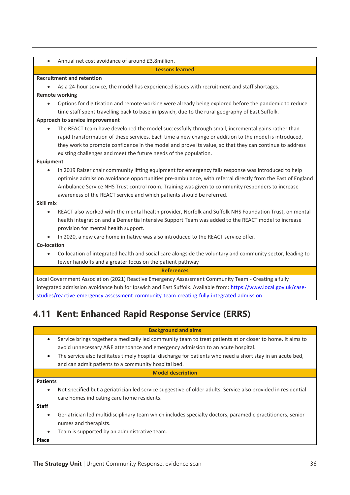|  | Annual net cost avoidance of around £3.8million. |
|--|--------------------------------------------------|
|--|--------------------------------------------------|

#### **Lessons learned**

#### **Recruitment and retention**

As a 24-hour service, the model has experienced issues with recruitment and staff shortages.

#### **Remote working**

• Options for digitisation and remote working were already being explored before the pandemic to reduce time staff spent travelling back to base in Ipswich, due to the rural geography of East Suffolk.

#### **Approach to service improvement**

• The REACT team have developed the model successfully through small, incremental gains rather than rapid transformation of these services. Each time a new change or addition to the model is introduced, they work to promote confidence in the model and prove its value, so that they can continue to address existing challenges and meet the future needs of the population.

#### **Equipment**

• In 2019 Raizer chair community lifting equipment for emergency falls response was introduced to help optimise admission avoidance opportunities pre-ambulance, with referral directly from the East of England Ambulance Service NHS Trust control room. Training was given to community responders to increase awareness of the REACT service and which patients should be referred.

#### **Skill mix**

- REACT also worked with the mental health provider, Norfolk and Suffolk NHS Foundation Trust, on mental health integration and a Dementia Intensive Support Team was added to the REACT model to increase provision for mental health support.
- In 2020, a new care home initiative was also introduced to the REACT service offer.

**Co-location**

• Co-location of integrated health and social care alongside the voluntary and community sector, leading to fewer handoffs and a greater focus on the patient pathway

#### **References**

Local Government Association (2021) Reactive Emergency Assessment Community Team - Creating a fully integrated admission avoidance hub for Ipswich and East Suffolk. Available from[: https://www.local.gov.uk/case](https://www.local.gov.uk/case-studies/reactive-emergency-assessment-community-team-creating-fully-integrated-admission)[studies/reactive-emergency-assessment-community-team-creating-fully-integrated-admission](https://www.local.gov.uk/case-studies/reactive-emergency-assessment-community-team-creating-fully-integrated-admission)

# **4.11 Kent: Enhanced Rapid Response Service (ERRS)**

#### **Background and aims**

- Service brings together a medically led community team to treat patients at or closer to home. It aims to avoid unnecessary A&E attendance and emergency admission to an acute hospital.
- The service also facilitates timely hospital discharge for patients who need a short stay in an acute bed, and can admit patients to a community hospital bed.

#### **Model description**

#### **Patients**

• Not specified but a geriatrician led service suggestive of older adults. Service also provided in residential care homes indicating care home residents.

**Staff**

- Geriatrician led multidisciplinary team which includes specialty doctors, paramedic practitioners, senior nurses and therapists.
- Team is supported by an administrative team.

**Place**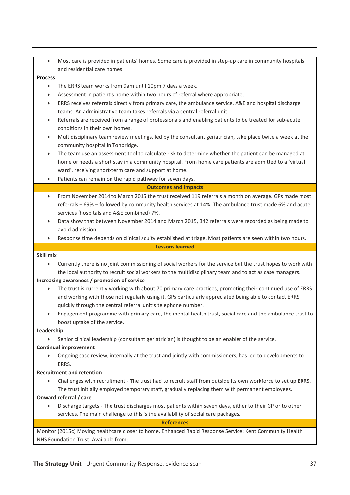• Most care is provided in patients' homes. Some care is provided in step-up care in community hospitals and residential care homes.

#### **Process**

- The ERRS team works from 9am until 10pm 7 days a week.
- Assessment in patient's home within two hours of referral where appropriate.
- ERRS receives referrals directly from primary care, the ambulance service, A&E and hospital discharge teams. An administrative team takes referrals via a central referral unit.
- Referrals are received from a range of professionals and enabling patients to be treated for sub-acute conditions in their own homes.
- Multidisciplinary team review meetings, led by the consultant geriatrician, take place twice a week at the community hospital in Tonbridge.
- The team use an assessment tool to calculate risk to determine whether the patient can be managed at home or needs a short stay in a community hospital. From home care patients are admitted to a 'virtual ward', receiving short-term care and support at home.
- Patients can remain on the rapid pathway for seven days.

#### **Outcomes and Impacts**

- From November 2014 to March 2015 the trust received 119 referrals a month on average. GPs made most referrals – 69% – followed by community health services at 14%. The ambulance trust made 6% and acute services (hospitals and A&E combined) 7%.
- Data show that between November 2014 and March 2015, 342 referrals were recorded as being made to avoid admission.
- Response time depends on clinical acuity established at triage. Most patients are seen within two hours.

#### **Lessons learned**

#### **Skill mix**

• Currently there is no joint commissioning of social workers for the service but the trust hopes to work with the local authority to recruit social workers to the multidisciplinary team and to act as case managers.

#### **Increasing awareness / promotion of service**

- The trust is currently working with about 70 primary care practices, promoting their continued use of ERRS and working with those not regularly using it. GPs particularly appreciated being able to contact ERRS quickly through the central referral unit's telephone number.
- Engagement programme with primary care, the mental health trust, social care and the ambulance trust to boost uptake of the service.

#### **Leadership**

• Senior clinical leadership (consultant geriatrician) is thought to be an enabler of the service.

#### **Continual improvement**

• Ongoing case review, internally at the trust and jointly with commissioners, has led to developments to ERRS.

#### **Recruitment and retention**

• Challenges with recruitment - The trust had to recruit staff from outside its own workforce to set up ERRS. The trust initially employed temporary staff, gradually replacing them with permanent employees.

#### **Onward referral / care**

• Discharge targets - The trust discharges most patients within seven days, either to their GP or to other services. The main challenge to this is the availability of social care packages.

#### **References**

Monitor (2015c) Moving healthcare closer to home. Enhanced Rapid Response Service: Kent Community Health NHS Foundation Trust. Available from: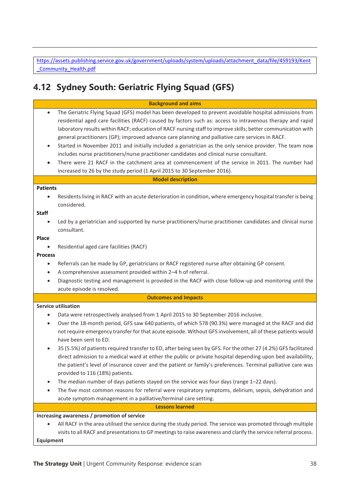[https://assets.publishing.service.gov.uk/government/uploads/system/uploads/attachment\\_data/file/459193/Kent](https://assets.publishing.service.gov.uk/government/uploads/system/uploads/attachment_data/file/459193/Kent_Community_Health.pdf) Community Health.pdf

# **4.12 Sydney South: Geriatric Flying Squad (GFS)**

|                        | <b>Background and aims</b>                                                                                       |  |  |
|------------------------|------------------------------------------------------------------------------------------------------------------|--|--|
|                        |                                                                                                                  |  |  |
| $\bullet$              | The Geriatric Flying Squad (GFS) model has been developed to prevent avoidable hospital admissions from          |  |  |
|                        | residential aged care facilities (RACF) caused by factors such as: access to intravenous therapy and rapid       |  |  |
|                        | laboratory results within RACF; education of RACF nursing staff to improve skills; better communication with     |  |  |
|                        | general practitioners (GP); improved advance care planning and palliative care services in RACF.                 |  |  |
| $\bullet$              | Started in November 2011 and initially included a geriatrician as the only service provider. The team now        |  |  |
|                        | includes nurse practitioners/nurse practitioner candidates and clinical nurse consultant.                        |  |  |
| ٠                      | There were 21 RACF in the catchment area at commencement of the service in 2011. The number had                  |  |  |
|                        | increased to 26 by the study period (1 April 2015 to 30 September 2016).                                         |  |  |
|                        | <b>Model description</b>                                                                                         |  |  |
| <b>Patients</b>        |                                                                                                                  |  |  |
|                        | Residents living in RACF with an acute deterioration in condition, where emergency hospital transfer is being    |  |  |
|                        | considered.                                                                                                      |  |  |
| <b>Staff</b>           |                                                                                                                  |  |  |
| $\bullet$              | Led by a geriatrician and supported by nurse practitioners/nurse practitioner candidates and clinical nurse      |  |  |
|                        | consultant.                                                                                                      |  |  |
| Place                  |                                                                                                                  |  |  |
| $\bullet$              | Residential aged care facilities (RACF)                                                                          |  |  |
| <b>Process</b>         |                                                                                                                  |  |  |
| $\bullet$              | Referrals can be made by GP, geriatricians or RACF registered nurse after obtaining GP consent.                  |  |  |
| $\bullet$              | A comprehensive assessment provided within 2-4 h of referral.                                                    |  |  |
| $\bullet$              | Diagnostic testing and management is provided in the RACF with close follow-up and monitoring until the          |  |  |
|                        | acute episode is resolved.                                                                                       |  |  |
|                        | <b>Outcomes and Impacts</b>                                                                                      |  |  |
|                        | <b>Service utilisation</b>                                                                                       |  |  |
| $\bullet$              | Data were retrospectively analysed from 1 April 2015 to 30 September 2016 inclusive.                             |  |  |
| $\bullet$              | Over the 18-month period, GFS saw 640 patients, of which 578 (90.3%) were managed at the RACF and did            |  |  |
|                        | not require emergency transfer for that acute episode. Without GFS involvement, all of these patients would      |  |  |
|                        | have been sent to ED.                                                                                            |  |  |
| $\bullet$              | 35 (5.5%) of patients required transfer to ED, after being seen by GFS. For the other 27 (4.2%) GFS facilitated  |  |  |
|                        | direct admission to a medical ward at either the public or private hospital depending upon bed availability,     |  |  |
|                        | the patient's level of insurance cover and the patient or family's preferences. Terminal palliative care was     |  |  |
|                        | provided to 116 (18%) patients.                                                                                  |  |  |
|                        | The median number of days patients stayed on the service was four days (range 1-22 days).                        |  |  |
| $\bullet$              | The five most common reasons for referral were respiratory symptoms, delirium, sepsis, dehydration and           |  |  |
|                        | acute symptom management in a palliative/terminal care setting.                                                  |  |  |
| <b>Lessons learned</b> |                                                                                                                  |  |  |
|                        | Increasing awareness / promotion of service                                                                      |  |  |
|                        | All RACF in the area utilised the service during the study period. The service was promoted through multiple     |  |  |
|                        | visits to all RACF and presentations to GP meetings to raise awareness and clarify the service referral process. |  |  |
| Equipment              |                                                                                                                  |  |  |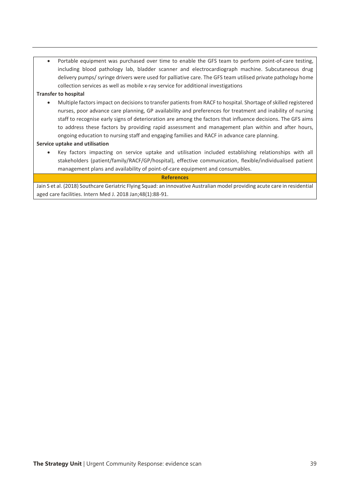• Portable equipment was purchased over time to enable the GFS team to perform point-of-care testing, including blood pathology lab, bladder scanner and electrocardiograph machine. Subcutaneous drug delivery pumps/ syringe drivers were used for palliative care. The GFS team utilised private pathology home collection services as well as mobile x-ray service for additional investigations

#### **Transfer to hospital**

• Multiple factors impact on decisions to transfer patients from RACF to hospital. Shortage of skilled registered nurses, poor advance care planning, GP availability and preferences for treatment and inability of nursing staff to recognise early signs of deterioration are among the factors that influence decisions. The GFS aims to address these factors by providing rapid assessment and management plan within and after hours, ongoing education to nursing staff and engaging families and RACF in advance care planning.

#### **Service uptake and utilisation**

• Key factors impacting on service uptake and utilisation included establishing relationships with all stakeholders (patient/family/RACF/GP/hospital), effective communication, flexible/individualised patient management plans and availability of point-of-care equipment and consumables.

#### **References**

Jain S et al. (2018) Southcare Geriatric Flying Squad: an innovative Australian model providing acute care in residential aged care facilities. Intern Med J. 2018 Jan;48(1):88-91.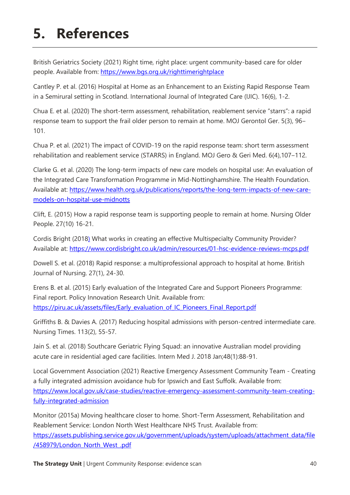# **5. References**

British Geriatrics Society (2021) Right time, right place: urgent community-based care for older people. Available from:<https://www.bgs.org.uk/righttimerightplace>

Cantley P. et al. (2016) Hospital at Home as an Enhancement to an Existing Rapid Response Team in a Semirural setting in Scotland. International Journal of Integrated Care (IJIC). 16(6), 1-2.

Chua E. et al. (2020) The short-term assessment, rehabilitation, reablement service "starrs": a rapid response team to support the frail older person to remain at home. MOJ Gerontol Ger. 5(3), 96– 101.

Chua P. et al. (2021) The impact of COVID-19 on the rapid response team: short term assessment rehabilitation and reablement service (STARRS) in England. MOJ Gero & Geri Med. 6(4),107-112.

Clarke G. et al. (2020) The long-term impacts of new care models on hospital use: An evaluation of the Integrated Care Transformation Programme in Mid-Nottinghamshire. The Health Foundation. Available at: [https://www.health.org.uk/publications/reports/the-long-term-impacts-of-new-care](https://www.health.org.uk/publications/reports/the-long-term-impacts-of-new-care-models-on-hospital-use-midnotts)[models-on-hospital-use-midnotts](https://www.health.org.uk/publications/reports/the-long-term-impacts-of-new-care-models-on-hospital-use-midnotts)

Clift, E. (2015) How a rapid response team is supporting people to remain at home. Nursing Older People. 27(10) 16-21.

Cordis Bright (2018) What works in creating an effective Multispecialty Community Provider? Available at:<https://www.cordisbright.co.uk/admin/resources/01-hsc-evidence-reviews-mcps.pdf>

Dowell S. et al. (2018) Rapid response: a multiprofessional approach to hospital at home. British Journal of Nursing. 27(1), 24-30.

Erens B. et al. (2015) Early evaluation of the Integrated Care and Support Pioneers Programme: Final report. Policy Innovation Research Unit. Available from: [https://piru.ac.uk/assets/files/Early\\_evaluation\\_of\\_IC\\_Pioneers\\_Final\\_Report.pdf](https://piru.ac.uk/assets/files/Early_evaluation_of_IC_Pioneers_Final_Report.pdf)

Griffiths B. & Davies A. (2017) Reducing hospital admissions with person-centred intermediate care. Nursing Times. 113(2), 55-57.

Jain S. et al. (2018) Southcare Geriatric Flying Squad: an innovative Australian model providing acute care in residential aged care facilities. Intern Med J. 2018 Jan;48(1):88-91.

Local Government Association (2021) Reactive Emergency Assessment Community Team - Creating a fully integrated admission avoidance hub for Ipswich and East Suffolk. Available from: [https://www.local.gov.uk/case-studies/reactive-emergency-assessment-community-team-creating](https://www.local.gov.uk/case-studies/reactive-emergency-assessment-community-team-creating-fully-integrated-admission)[fully-integrated-admission](https://www.local.gov.uk/case-studies/reactive-emergency-assessment-community-team-creating-fully-integrated-admission)

Monitor (2015a) Moving healthcare closer to home. Short-Term Assessment, Rehabilitation and Reablement Service: London North West Healthcare NHS Trust. Available from: [https://assets.publishing.service.gov.uk/government/uploads/system/uploads/attachment\\_data/file](https://assets.publishing.service.gov.uk/government/uploads/system/uploads/attachment_data/file/458979/London_North_West_.pdf) [/458979/London\\_North\\_West\\_.pdf](https://assets.publishing.service.gov.uk/government/uploads/system/uploads/attachment_data/file/458979/London_North_West_.pdf)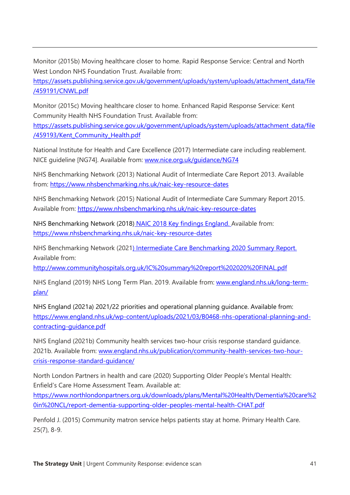Monitor (2015b) Moving healthcare closer to home. Rapid Response Service: Central and North West London NHS Foundation Trust. Available from:

[https://assets.publishing.service.gov.uk/government/uploads/system/uploads/attachment\\_data/file](https://assets.publishing.service.gov.uk/government/uploads/system/uploads/attachment_data/file/459191/CNWL.pdf) [/459191/CNWL.pdf](https://assets.publishing.service.gov.uk/government/uploads/system/uploads/attachment_data/file/459191/CNWL.pdf)

Monitor (2015c) Moving healthcare closer to home. Enhanced Rapid Response Service: Kent Community Health NHS Foundation Trust. Available from:

[https://assets.publishing.service.gov.uk/government/uploads/system/uploads/attachment\\_data/file](https://assets.publishing.service.gov.uk/government/uploads/system/uploads/attachment_data/file/459193/Kent_Community_Health.pdf) [/459193/Kent\\_Community\\_Health.pdf](https://assets.publishing.service.gov.uk/government/uploads/system/uploads/attachment_data/file/459193/Kent_Community_Health.pdf)

National Institute for Health and Care Excellence (2017) Intermediate care including reablement. NICE guideline [NG74]. Available from: [www.nice.org.uk/guidance/NG74](http://www.nice.org.uk/guidance/NG74)

NHS Benchmarking Network (2013) National Audit of Intermediate Care Report 2013. Available from:<https://www.nhsbenchmarking.nhs.uk/naic-key-resource-dates>

NHS Benchmarking Network (2015) National Audit of Intermediate Care Summary Report 2015. Available from:<https://www.nhsbenchmarking.nhs.uk/naic-key-resource-dates>

NHS Benchmarking Network (2018) NAIC 2018 Key findings England. Available from: <https://www.nhsbenchmarking.nhs.uk/naic-key-resource-dates>

NHS Benchmarking Network (2021) Intermediate Care Benchmarking 2020 Summary Report. Available from:

<http://www.communityhospitals.org.uk/IC%20summary%20report%202020%20FINAL.pdf>

NHS England (2019) NHS Long Term Plan. 2019. Available from: [www.england.nhs.uk/long-term](http://www.england.nhs.uk/long-term-plan/)[plan/](http://www.england.nhs.uk/long-term-plan/)

NHS England (2021a) 2021/22 priorities and operational planning guidance. Available from: [https://www.england.nhs.uk/wp-content/uploads/2021/03/B0468-nhs-operational-planning-and](https://www.england.nhs.uk/wp-content/uploads/2021/03/B0468-nhs-operational-planning-and-contracting-guidance.pdf)[contracting-guidance.pdf](https://www.england.nhs.uk/wp-content/uploads/2021/03/B0468-nhs-operational-planning-and-contracting-guidance.pdf)

NHS England (2021b) Community health services two-hour crisis response standard guidance. 2021b. Available from: [www.england.nhs.uk/publication/community-health-services-two-hour](http://www.england.nhs.uk/publication/community-health-services-two-hour-crisis-response-standard-guidance/)[crisis-response-standard-guidance/](http://www.england.nhs.uk/publication/community-health-services-two-hour-crisis-response-standard-guidance/)

North London Partners in health and care (2020) Supporting Older People's Mental Health: Enfield's Care Home Assessment Team. Available at:

[https://www.northlondonpartners.org.uk/downloads/plans/Mental%20Health/Dementia%20care%2](https://www.northlondonpartners.org.uk/downloads/plans/Mental%20Health/Dementia%20care%20in%20NCL/report-dementia-supporting-older-peoples-mental-health-CHAT.pdf) [0in%20NCL/report-dementia-supporting-older-peoples-mental-health-CHAT.pdf](https://www.northlondonpartners.org.uk/downloads/plans/Mental%20Health/Dementia%20care%20in%20NCL/report-dementia-supporting-older-peoples-mental-health-CHAT.pdf)

Penfold J. (2015) Community matron service helps patients stay at home. Primary Health Care. 25(7), 8-9.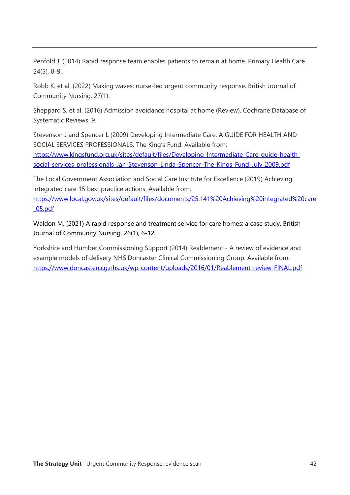Penfold J. (2014) Rapid response team enables patients to remain at home. Primary Health Care. 24(5), 8-9.

Robb K. et al. (2022) Making waves: nurse-led urgent community response. British Journal of Community Nursing. 27(1).

Sheppard S. et al. (2016) Admission avoidance hospital at home (Review). Cochrane Database of Systematic Reviews. 9.

Stevenson J and Spencer L (2009) Developing Intermediate Care. A GUIDE FOR HEALTH AND SOCIAL SERVICES PROFESSIONALS. The King's Fund. Available from: [https://www.kingsfund.org.uk/sites/default/files/Developing-Intermediate-Care-guide-health](https://www.kingsfund.org.uk/sites/default/files/Developing-Intermediate-Care-guide-health-social-services-professionals-Jan-Stevenson-Linda-Spencer-The-Kings-Fund-July-2009.pdf)[social-services-professionals-Jan-Stevenson-Linda-Spencer-The-Kings-Fund-July-2009.pdf](https://www.kingsfund.org.uk/sites/default/files/Developing-Intermediate-Care-guide-health-social-services-professionals-Jan-Stevenson-Linda-Spencer-The-Kings-Fund-July-2009.pdf)

The Local Government Association and Social Care Institute for Excellence (2019) Achieving integrated care 15 best practice actions. Available from:

[https://www.local.gov.uk/sites/default/files/documents/25.141%20Achieving%20integrated%20care](https://www.local.gov.uk/sites/default/files/documents/25.141%20Achieving%20integrated%20care_05.pdf) [\\_05.pdf](https://www.local.gov.uk/sites/default/files/documents/25.141%20Achieving%20integrated%20care_05.pdf)

Waldon M. (2021) A rapid response and treatment service for care homes: a case study. British Journal of Community Nursing. 26(1), 6-12.

Yorkshire and Humber Commissioning Support (2014) Reablement - A review of evidence and example models of delivery NHS Doncaster Clinical Commissioning Group. Available from: <https://www.doncasterccg.nhs.uk/wp-content/uploads/2016/01/Reablement-review-FINAL.pdf>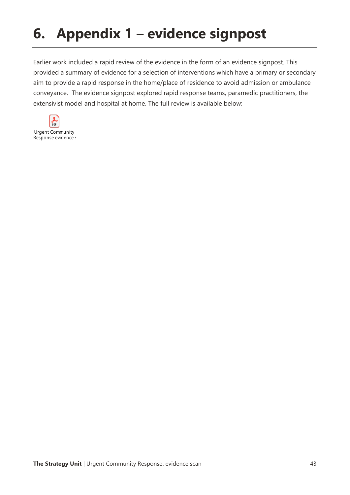# **6. Appendix 1 – evidence signpost**

Earlier work included a rapid review of the evidence in the form of an evidence signpost. This provided a summary of evidence for a selection of interventions which have a primary or secondary aim to provide a rapid response in the home/place of residence to avoid admission or ambulance conveyance. The evidence signpost explored rapid response teams, paramedic practitioners, the extensivist model and hospital at home. The full review is available below: